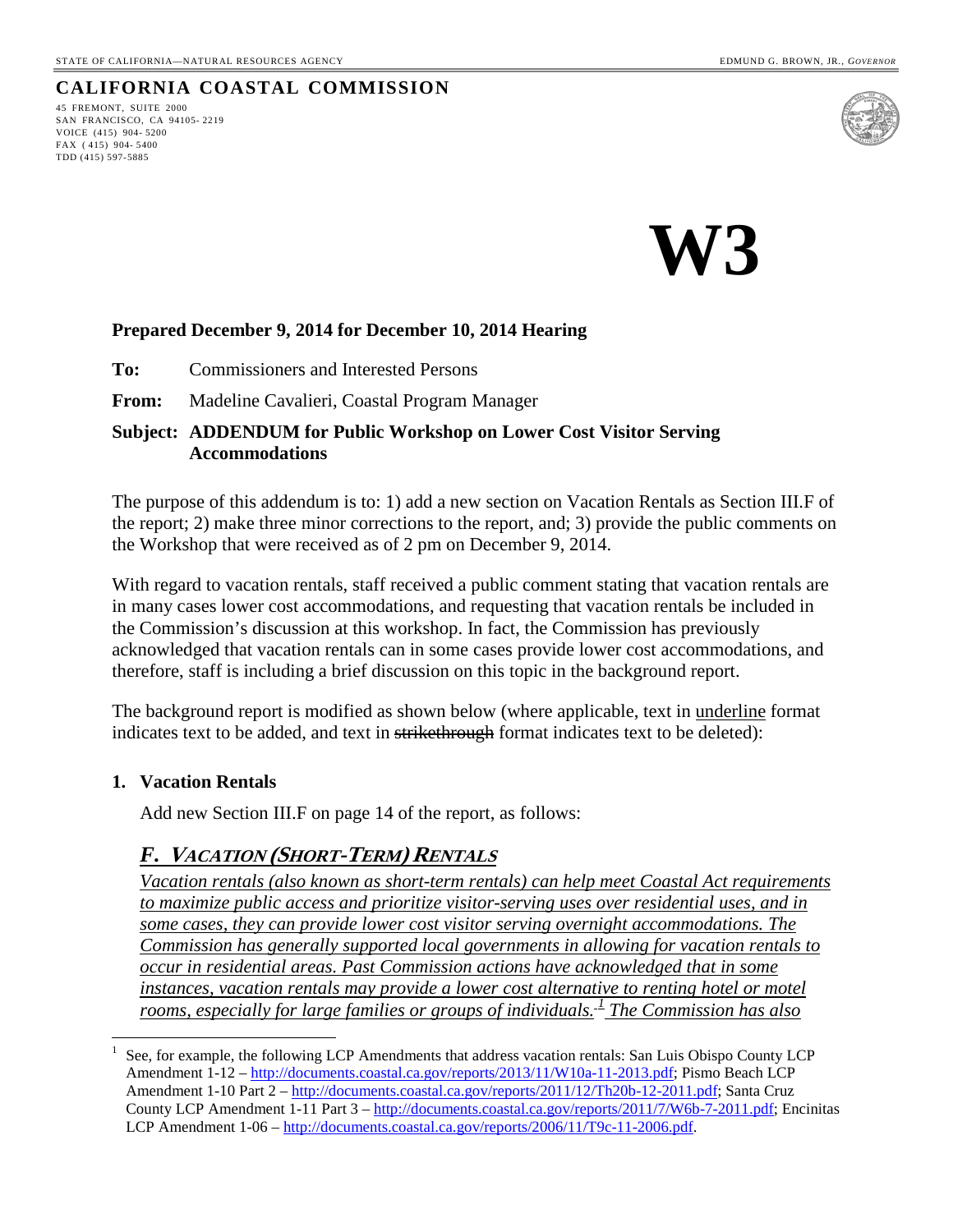#### **CALIFORNIA COASTAL COMMISSION**

45 FREMONT, SUITE 2000 SAN FRANCISCO, CA 94105- 2219 VOICE (415) 904- 5200 FAX ( 415) 904- 5400 TDD (415) 597-5885



**W3** 

#### **Prepared December 9, 2014 for December 10, 2014 Hearing**

**To:** Commissioners and Interested Persons

**From:** Madeline Cavalieri, Coastal Program Manager

#### **Subject: ADDENDUM for Public Workshop on Lower Cost Visitor Serving Accommodations**

The purpose of this addendum is to: 1) add a new section on Vacation Rentals as Section III.F of the report; 2) make three minor corrections to the report, and; 3) provide the public comments on the Workshop that were received as of 2 pm on December 9, 2014.

With regard to vacation rentals, staff received a public comment stating that vacation rentals are in many cases lower cost accommodations, and requesting that vacation rentals be included in the Commission's discussion at this workshop. In fact, the Commission has previously acknowledged that vacation rentals can in some cases provide lower cost accommodations, and therefore, staff is including a brief discussion on this topic in the background report.

The background report is modified as shown below (where applicable, text in underline format indicates text to be added, and text in strikethrough format indicates text to be deleted):

#### **1. Vacation Rentals**

 $\overline{a}$ 

Add new Section III.F on page 14 of the report, as follows:

#### *F.* **VACATION (SHORT-TERM) RENTALS**

*Vacation rentals (also known as short-term rentals) can help meet Coastal Act requirements to maximize public access and prioritize visitor-serving uses over residential uses, and in some cases, they can provide lower cost visitor serving overnight accommodations. The Commission has generally supported local governments in allowing for vacation rentals to occur in residential areas. Past Commission actions have acknowledged that in some instances, vacation rentals may provide a lower cost alternative to renting hotel or motel rooms, especially for large families or groups of individuals. [1](#page-0-0) The Commission has also* 

<span id="page-0-0"></span><sup>1</sup> See, for example, the following LCP Amendments that address vacation rentals: San Luis Obispo County LCP Amendment 1-12 – [http://documents.coastal.ca.gov/reports/2013/11/W10a-11-2013.pdf;](http://documents.coastal.ca.gov/reports/2013/11/W10a-11-2013.pdf) Pismo Beach LCP Amendment 1-10 Part 2 – [http://documents.coastal.ca.gov/reports/2011/12/Th20b-12-2011.pdf;](http://documents.coastal.ca.gov/reports/2011/12/Th20b-12-2011.pdf) Santa Cruz County LCP Amendment 1-11 Part 3 – [http://documents.coastal.ca.gov/reports/2011/7/W6b-7-2011.pdf;](http://documents.coastal.ca.gov/reports/2011/7/W6b-7-2011.pdf) Encinitas LCP Amendment 1-06 – [http://documents.coastal.ca.gov/reports/2006/11/T9c-11-2006.pdf.](http://documents.coastal.ca.gov/reports/2006/11/T9c-11-2006.pdf)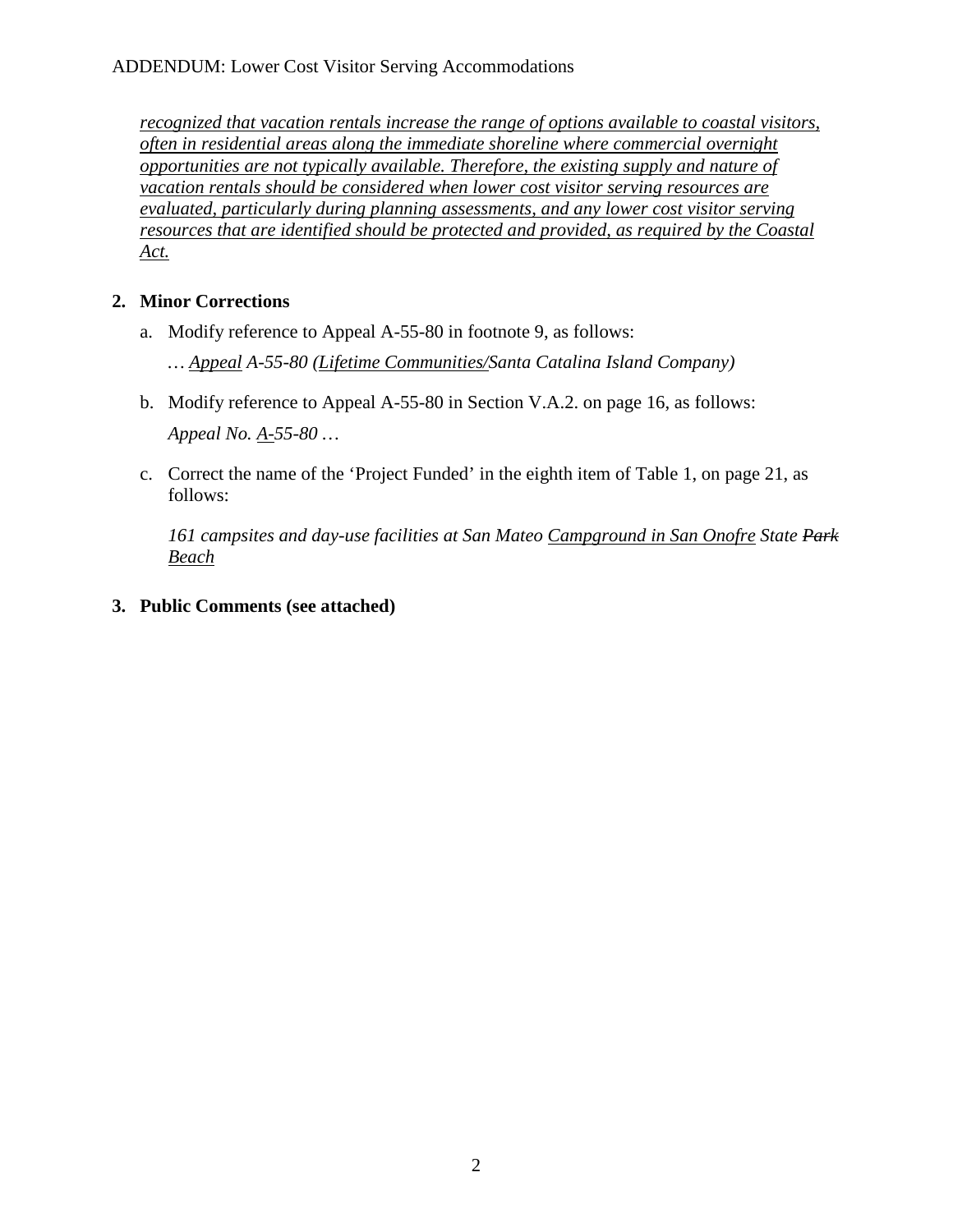*recognized that vacation rentals increase the range of options available to coastal visitors, often in residential areas along the immediate shoreline where commercial overnight opportunities are not typically available. Therefore, the existing supply and nature of vacation rentals should be considered when lower cost visitor serving resources are evaluated, particularly during planning assessments, and any lower cost visitor serving resources that are identified should be protected and provided, as required by the Coastal Act.*

#### **2. Minor Corrections**

- a. Modify reference to Appeal A-55-80 in footnote 9, as follows:
	- *… Appeal A-55-80 (Lifetime Communities/Santa Catalina Island Company)*
- b. Modify reference to Appeal A-55-80 in Section V.A.2. on page 16, as follows: *Appeal No. A-55-80 …*
- c. Correct the name of the 'Project Funded' in the eighth item of Table 1, on page 21, as follows:

*161 campsites and day-use facilities at San Mateo Campground in San Onofre State Park Beach*

**3. Public Comments (see attached)**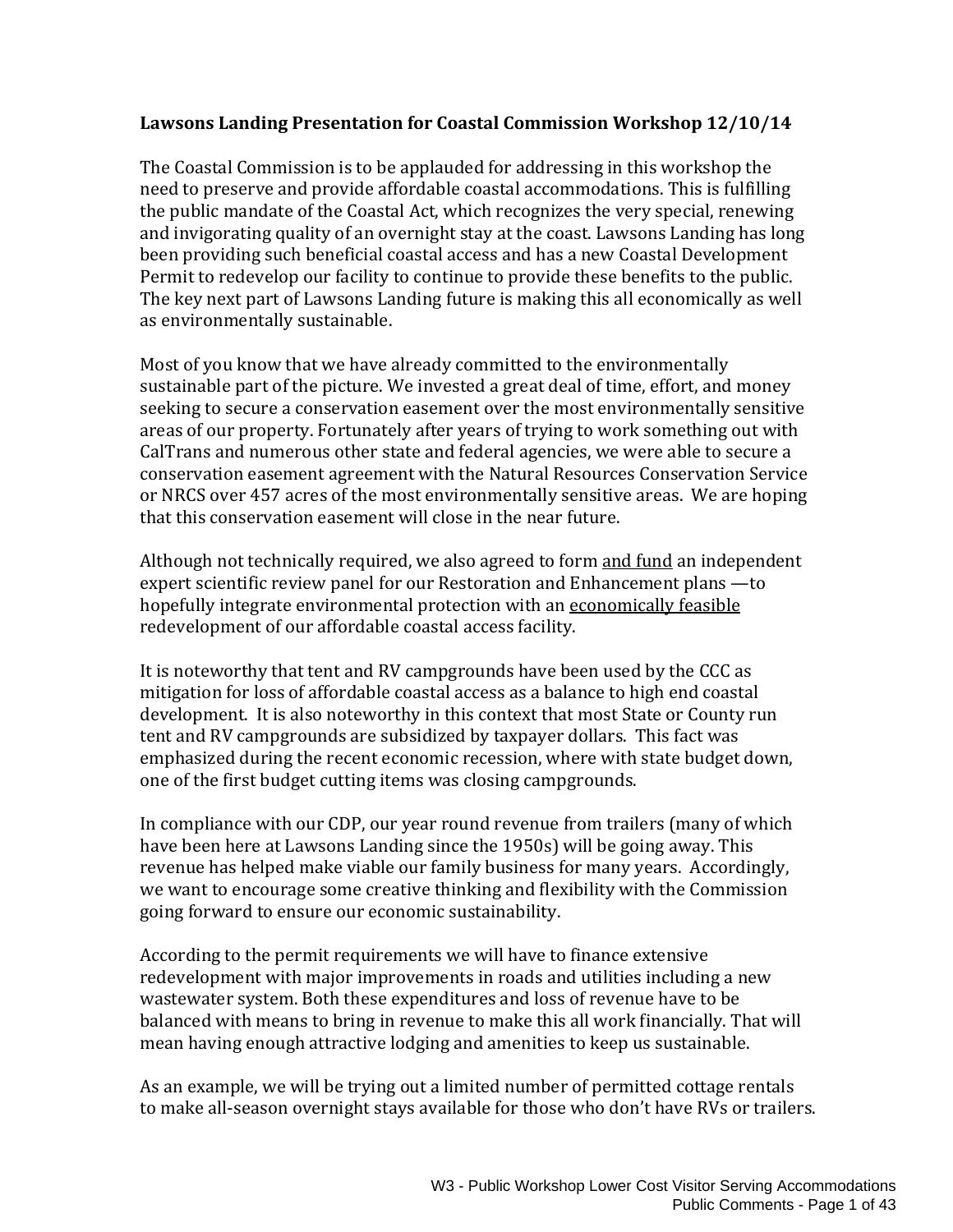#### **Lawsons Landing Presentation for Coastal Commission Workshop 12/10/14**

The Coastal Commission is to be applauded for addressing in this workshop the need to preserve and provide affordable coastal accommodations. This is fulfilling the public mandate of the Coastal Act, which recognizes the very special, renewing and invigorating quality of an overnight stay at the coast. Lawsons Landing has long been providing such beneficial coastal access and has a new Coastal Development Permit to redevelop our facility to continue to provide these benefits to the public. The key next part of Lawsons Landing future is making this all economically as well as environmentally sustainable.

Most of you know that we have already committed to the environmentally sustainable part of the picture. We invested a great deal of time, effort, and money seeking to secure a conservation easement over the most environmentally sensitive areas of our property. Fortunately after years of trying to work something out with CalTrans and numerous other state and federal agencies, we were able to secure a conservation easement agreement with the Natural Resources Conservation Service or NRCS over 457 acres of the most environmentally sensitive areas. We are hoping that this conservation easement will close in the near future.

Although not technically required, we also agreed to form and fund an independent expert scientific review panel for our Restoration and Enhancement plans - to hopefully integrate environmental protection with an economically feasible redevelopment of our affordable coastal access facility.

It is noteworthy that tent and RV campgrounds have been used by the CCC as mitigation for loss of affordable coastal access as a balance to high end coastal development. It is also noteworthy in this context that most State or County run tent and RV campgrounds are subsidized by taxpayer dollars. This fact was emphasized during the recent economic recession, where with state budget down, one of the first budget cutting items was closing campgrounds.

In compliance with our CDP, our year round revenue from trailers (many of which have been here at Lawsons Landing since the 1950s) will be going away. This revenue has helped make viable our family business for many years. Accordingly, we want to encourage some creative thinking and flexibility with the Commission going forward to ensure our economic sustainability.

According to the permit requirements we will have to finance extensive redevelopment with major improvements in roads and utilities including a new wastewater system. Both these expenditures and loss of revenue have to be balanced with means to bring in revenue to make this all work financially. That will mean having enough attractive lodging and amenities to keep us sustainable.

As an example, we will be trying out a limited number of permitted cottage rentals to make all-season overnight stays available for those who don't have RVs or trailers.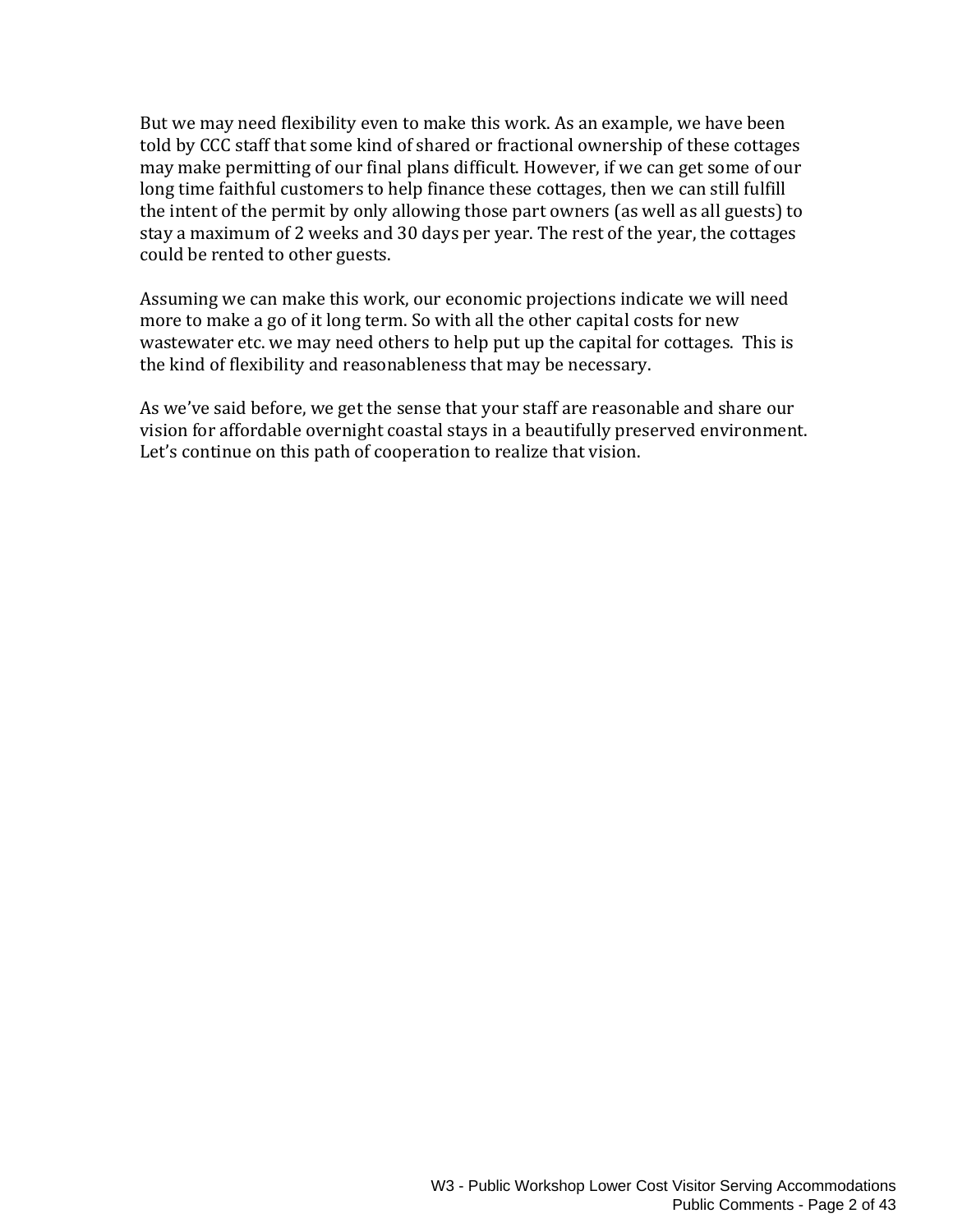But we may need flexibility even to make this work. As an example, we have been told by CCC staff that some kind of shared or fractional ownership of these cottages may make permitting of our final plans difficult. However, if we can get some of our long time faithful customers to help finance these cottages, then we can still fulfill the intent of the permit by only allowing those part owners (as well as all guests) to stay a maximum of 2 weeks and 30 days per year. The rest of the year, the cottages could be rented to other guests.

Assuming we can make this work, our economic projections indicate we will need more to make a go of it long term. So with all the other capital costs for new wastewater etc. we may need others to help put up the capital for cottages. This is the kind of flexibility and reasonableness that may be necessary.

As we've said before, we get the sense that your staff are reasonable and share our vision for affordable overnight coastal stays in a beautifully preserved environment. Let's continue on this path of cooperation to realize that vision.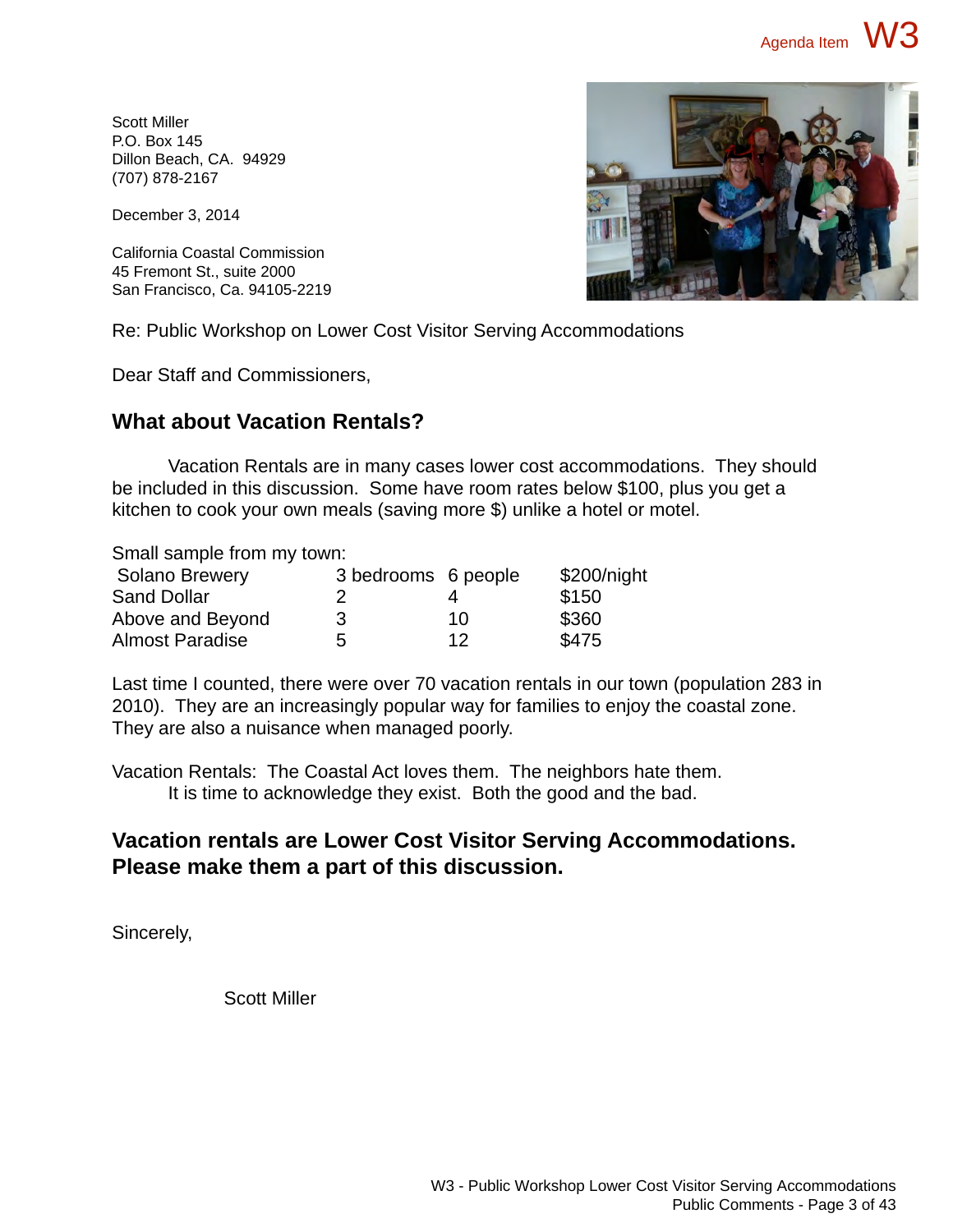Scott Miller P.O. Box 145 Dillon Beach, CA. 94929 (707) 878-2167

December 3, 2014

California Coastal Commission 45 Fremont St., suite 2000 San Francisco, Ca. 94105-2219



Re: Public Workshop on Lower Cost Visitor Serving Accommodations

Dear Staff and Commissioners,

### **What about Vacation Rentals?**

Vacation Rentals are in many cases lower cost accommodations. They should be included in this discussion. Some have room rates below \$100, plus you get a kitchen to cook your own meals (saving more \$) unlike a hotel or motel.

Small sample from my town:

| <b>Solano Brewery</b>  | 3 bedrooms 6 people |    | \$200/night |
|------------------------|---------------------|----|-------------|
| <b>Sand Dollar</b>     |                     |    | \$150       |
| Above and Beyond       | 3                   | 10 | \$360       |
| <b>Almost Paradise</b> | 5                   | 12 | \$475       |

Last time I counted, there were over 70 vacation rentals in our town (population 283 in 2010). They are an increasingly popular way for families to enjoy the coastal zone. They are also a nuisance when managed poorly.

Vacation Rentals: The Coastal Act loves them. The neighbors hate them. It is time to acknowledge they exist. Both the good and the bad.

### **Vacation rentals are Lower Cost Visitor Serving Accommodations. Please make them a part of this discussion.**

Sincerely,

Scott Miller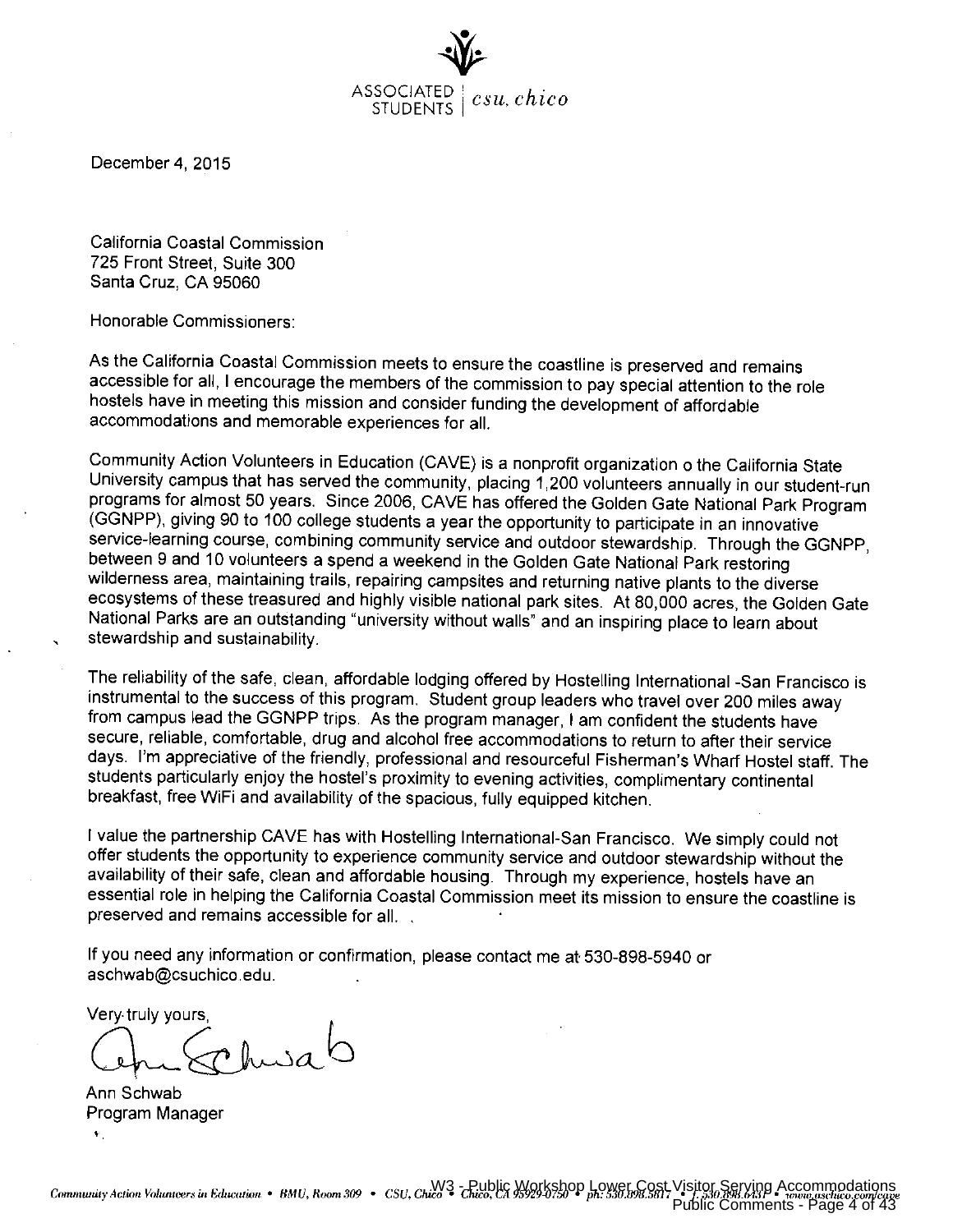

December 4, 2015

California Coastal Commission 725 Front Street. Suite 300 Santa Cruz, CA 95060

Honorable Commissioners:

As the California Coastal Commission meets to ensure the coastline is preserved and remains accessible for all, I encourage the members of the commission to pay special attention to the role hostels have in meeting this mission and consider funding the development of affordable accommodations and memorable experiences for all.

Community Action Volunteers in Education (CAVE) is a nonprofit organization o the California State University campus that has served the community, placing 1,200 volunteers annually in our student-run programs for almost 50 years. Since 2006, CAVE has offered the Golden Gate National Park Program (GGNPP), giving 90 to 100 college students a year the opportunity to participate in an innovative service-learning course, combining community service and outdoor stewardship. Through the GGNPP, between 9 and 10 volunteers a spend a weekend in the Golden Gate National Park restoring wilderness area, maintaining trails, repairing campsites and returning native plants to the diverse ecosystems of these treasured and highly visible national park sites. At 80,000 acres, the Golden Gate National Parks are an outstanding "university without walls" and an inspiring place to learn about stewardship and sustainability.

The reliability of the safe, clean, affordable lodging offered by Hostelling International -San Francisco is instrumental to the success of this program. Student group leaders who travel over 200 miles away from campus lead the GGNPP trips. As the program manager, I am confident the students have secure, reliable, comfortable, drug and alcohol free accommodations to return to after their service days. I'm appreciative of the friendly, professional and resourceful Fisherman's Wharf Hostel staff. The students particularly enjoy the hostel's proximity to evening activities, complimentary continental breakfast, free WiFi and availability of the spacious, fully equipped kitchen.

I value the partnership CAVE has with Hostelling International-San Francisco. We simply could not offer students the opportunity to experience community service and outdoor stewardship without the availability of their safe, clean and affordable housing. Through my experience, hostels have an essential role in helping the California Coastal Commission meet its mission to ensure the coastline is preserved and remains accessible for all.

If you need any information or confirmation, please contact me at 530-898-5940 or aschwab@csuchico.edu.

Very truly yours

ohusa

Ann Schwab Program Manager  $\Psi$  .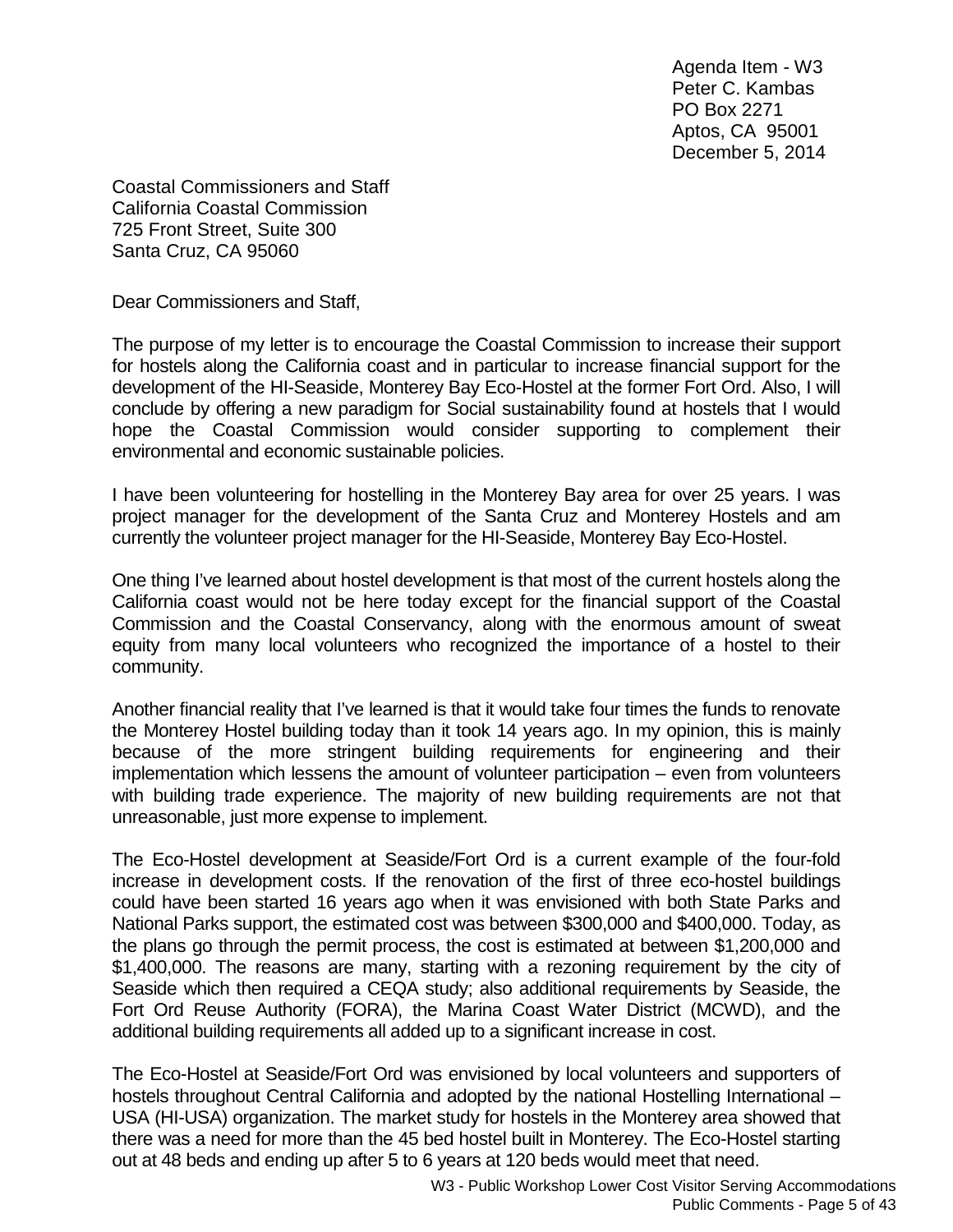Agenda Item - W3 Peter C. Kambas PO Box 2271 Aptos, CA 95001 December 5, 2014

Coastal Commissioners and Staff California Coastal Commission 725 Front Street, Suite 300 Santa Cruz, CA 95060

Dear Commissioners and Staff,

The purpose of my letter is to encourage the Coastal Commission to increase their support for hostels along the California coast and in particular to increase financial support for the development of the HI-Seaside, Monterey Bay Eco-Hostel at the former Fort Ord. Also, I will conclude by offering a new paradigm for Social sustainability found at hostels that I would hope the Coastal Commission would consider supporting to complement their environmental and economic sustainable policies.

I have been volunteering for hostelling in the Monterey Bay area for over 25 years. I was project manager for the development of the Santa Cruz and Monterey Hostels and am currently the volunteer project manager for the HI-Seaside, Monterey Bay Eco-Hostel.

One thing I've learned about hostel development is that most of the current hostels along the California coast would not be here today except for the financial support of the Coastal Commission and the Coastal Conservancy, along with the enormous amount of sweat equity from many local volunteers who recognized the importance of a hostel to their community.

Another financial reality that I've learned is that it would take four times the funds to renovate the Monterey Hostel building today than it took 14 years ago. In my opinion, this is mainly because of the more stringent building requirements for engineering and their implementation which lessens the amount of volunteer participation – even from volunteers with building trade experience. The majority of new building requirements are not that unreasonable, just more expense to implement.

The Eco-Hostel development at Seaside/Fort Ord is a current example of the four-fold increase in development costs. If the renovation of the first of three eco-hostel buildings could have been started 16 years ago when it was envisioned with both State Parks and National Parks support, the estimated cost was between \$300,000 and \$400,000. Today, as the plans go through the permit process, the cost is estimated at between \$1,200,000 and \$1,400,000. The reasons are many, starting with a rezoning requirement by the city of Seaside which then required a CEQA study; also additional requirements by Seaside, the Fort Ord Reuse Authority (FORA), the Marina Coast Water District (MCWD), and the additional building requirements all added up to a significant increase in cost.

The Eco-Hostel at Seaside/Fort Ord was envisioned by local volunteers and supporters of hostels throughout Central California and adopted by the national Hostelling International – USA (HI-USA) organization. The market study for hostels in the Monterey area showed that there was a need for more than the 45 bed hostel built in Monterey. The Eco-Hostel starting out at 48 beds and ending up after 5 to 6 years at 120 beds would meet that need.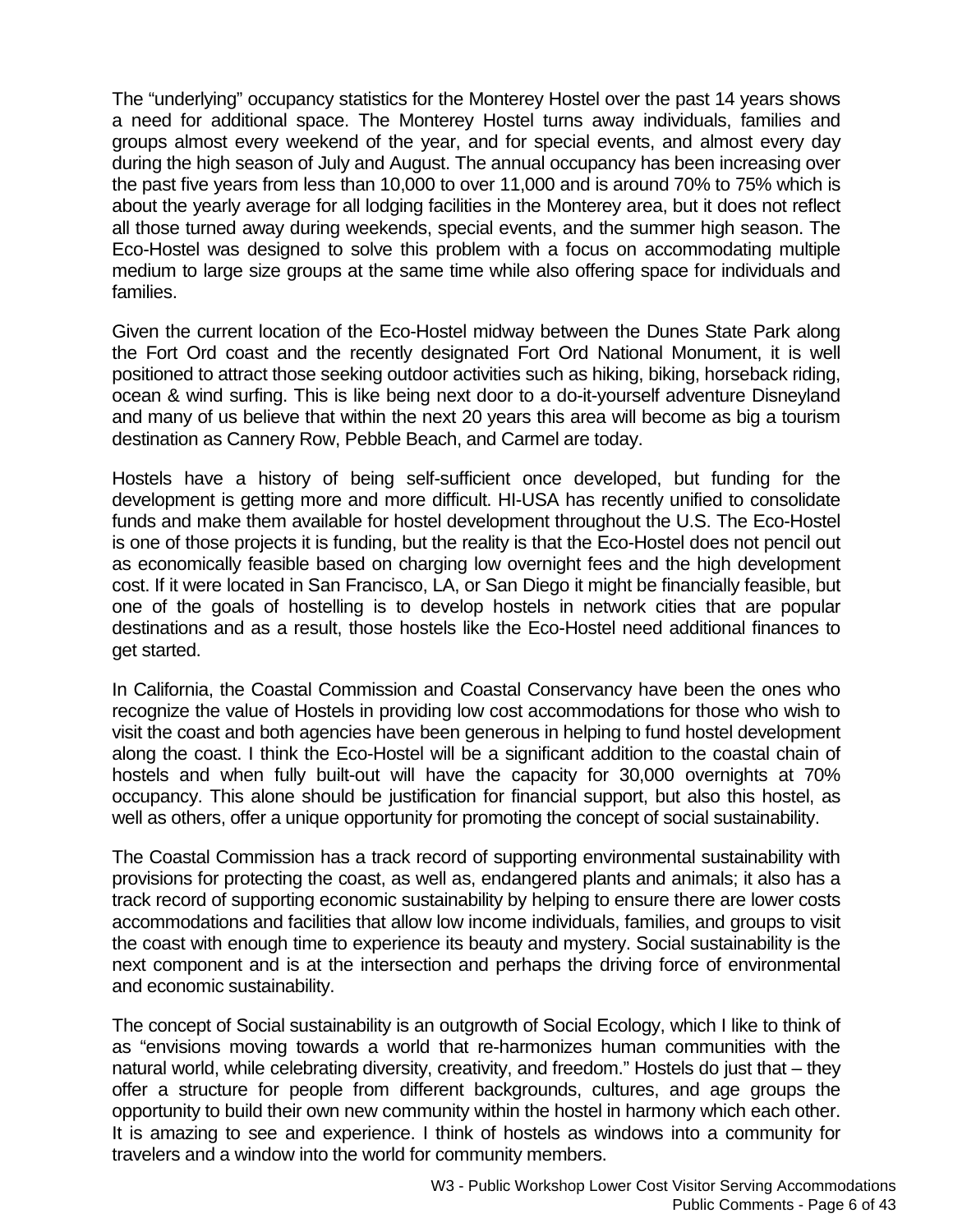The "underlying" occupancy statistics for the Monterey Hostel over the past 14 years shows a need for additional space. The Monterey Hostel turns away individuals, families and groups almost every weekend of the year, and for special events, and almost every day during the high season of July and August. The annual occupancy has been increasing over the past five years from less than 10,000 to over 11,000 and is around 70% to 75% which is about the yearly average for all lodging facilities in the Monterey area, but it does not reflect all those turned away during weekends, special events, and the summer high season. The Eco-Hostel was designed to solve this problem with a focus on accommodating multiple medium to large size groups at the same time while also offering space for individuals and families.

Given the current location of the Eco-Hostel midway between the Dunes State Park along the Fort Ord coast and the recently designated Fort Ord National Monument, it is well positioned to attract those seeking outdoor activities such as hiking, biking, horseback riding, ocean & wind surfing. This is like being next door to a do-it-yourself adventure Disneyland and many of us believe that within the next 20 years this area will become as big a tourism destination as Cannery Row, Pebble Beach, and Carmel are today.

Hostels have a history of being self-sufficient once developed, but funding for the development is getting more and more difficult. HI-USA has recently unified to consolidate funds and make them available for hostel development throughout the U.S. The Eco-Hostel is one of those projects it is funding, but the reality is that the Eco-Hostel does not pencil out as economically feasible based on charging low overnight fees and the high development cost. If it were located in San Francisco, LA, or San Diego it might be financially feasible, but one of the goals of hostelling is to develop hostels in network cities that are popular destinations and as a result, those hostels like the Eco-Hostel need additional finances to get started.

In California, the Coastal Commission and Coastal Conservancy have been the ones who recognize the value of Hostels in providing low cost accommodations for those who wish to visit the coast and both agencies have been generous in helping to fund hostel development along the coast. I think the Eco-Hostel will be a significant addition to the coastal chain of hostels and when fully built-out will have the capacity for 30,000 overnights at 70% occupancy. This alone should be justification for financial support, but also this hostel, as well as others, offer a unique opportunity for promoting the concept of social sustainability.

The Coastal Commission has a track record of supporting environmental sustainability with provisions for protecting the coast, as well as, endangered plants and animals; it also has a track record of supporting economic sustainability by helping to ensure there are lower costs accommodations and facilities that allow low income individuals, families, and groups to visit the coast with enough time to experience its beauty and mystery. Social sustainability is the next component and is at the intersection and perhaps the driving force of environmental and economic sustainability.

The concept of Social sustainability is an outgrowth of Social Ecology, which I like to think of as "envisions moving towards a world that re-harmonizes human communities with the natural world, while celebrating diversity, creativity, and freedom." Hostels do just that – they offer a structure for people from different backgrounds, cultures, and age groups the opportunity to build their own new community within the hostel in harmony which each other. It is amazing to see and experience. I think of hostels as windows into a community for travelers and a window into the world for community members.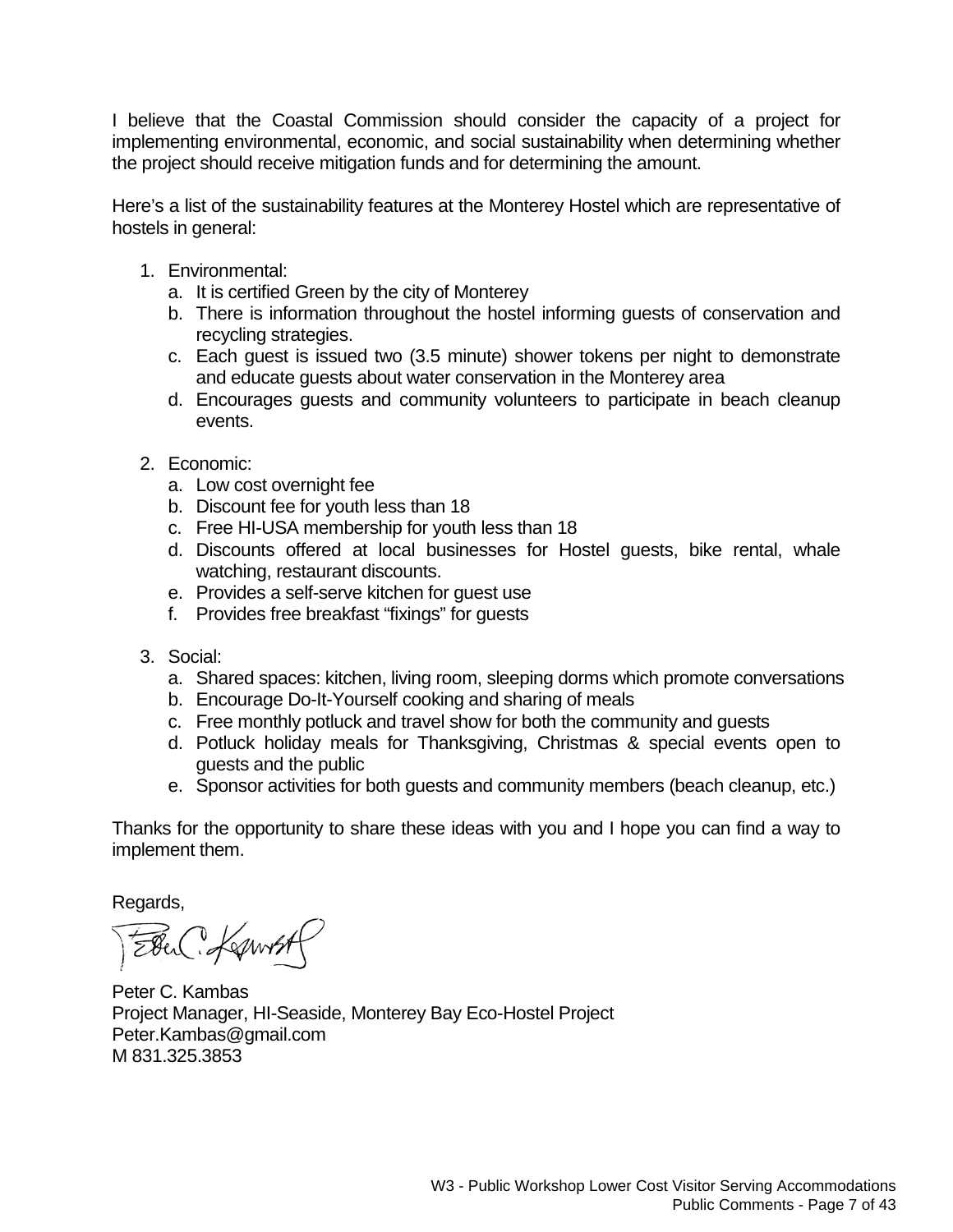I believe that the Coastal Commission should consider the capacity of a project for implementing environmental, economic, and social sustainability when determining whether the project should receive mitigation funds and for determining the amount.

Here's a list of the sustainability features at the Monterey Hostel which are representative of hostels in general:

- 1. Environmental:
	- a. It is certified Green by the city of Monterey
	- b. There is information throughout the hostel informing guests of conservation and recycling strategies.
	- c. Each guest is issued two (3.5 minute) shower tokens per night to demonstrate and educate guests about water conservation in the Monterey area
	- d. Encourages guests and community volunteers to participate in beach cleanup events.
- 2. Economic:
	- a. Low cost overnight fee
	- b. Discount fee for youth less than 18
	- c. Free HI-USA membership for youth less than 18
	- d. Discounts offered at local businesses for Hostel guests, bike rental, whale watching, restaurant discounts.
	- e. Provides a self-serve kitchen for guest use
	- f. Provides free breakfast "fixings" for guests
- 3. Social:
	- a. Shared spaces: kitchen, living room, sleeping dorms which promote conversations
	- b. Encourage Do-It-Yourself cooking and sharing of meals
	- c. Free monthly potluck and travel show for both the community and guests
	- d. Potluck holiday meals for Thanksgiving, Christmas & special events open to guests and the public
	- e. Sponsor activities for both guests and community members (beach cleanup, etc.)

Thanks for the opportunity to share these ideas with you and I hope you can find a way to implement them.

Regards,

Four Kownst

Peter C. Kambas Project Manager, HI-Seaside, Monterey Bay Eco-Hostel Project Peter.Kambas@gmail.com M 831.325.3853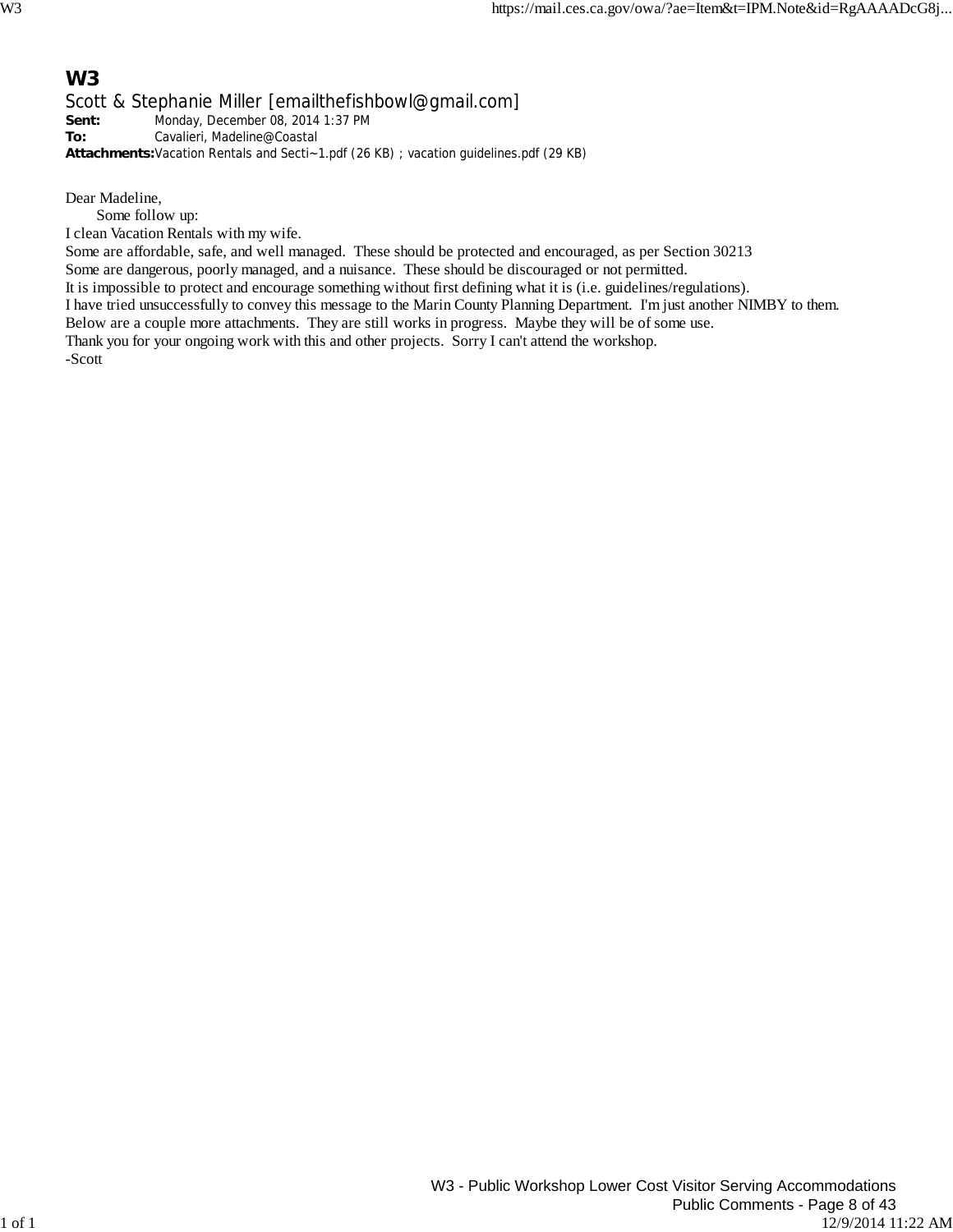### **W3**

Scott & Stephanie Miller [emailthefishbowl@gmail.com] **Sent:** Monday, December 08, 2014 1:37 PM **To:** Cavalieri, Madeline@Coastal

**Attachments:**Vacation Rentals and Secti~1.pdf (26 KB) ; vacation guidelines.pdf (29 KB)

Dear Madeline,

Some follow up:

I clean Vacation Rentals with my wife.

Some are affordable, safe, and well managed. These should be protected and encouraged, as per Section 30213

Some are dangerous, poorly managed, and a nuisance. These should be discouraged or not permitted.

It is impossible to protect and encourage something without first defining what it is (i.e. guidelines/regulations).

I have tried unsuccessfully to convey this message to the Marin County Planning Department. I'm just another NIMBY to them.

Below are a couple more attachments. They are still works in progress. Maybe they will be of some use.

Thank you for your ongoing work with this and other projects. Sorry I can't attend the workshop. -Scott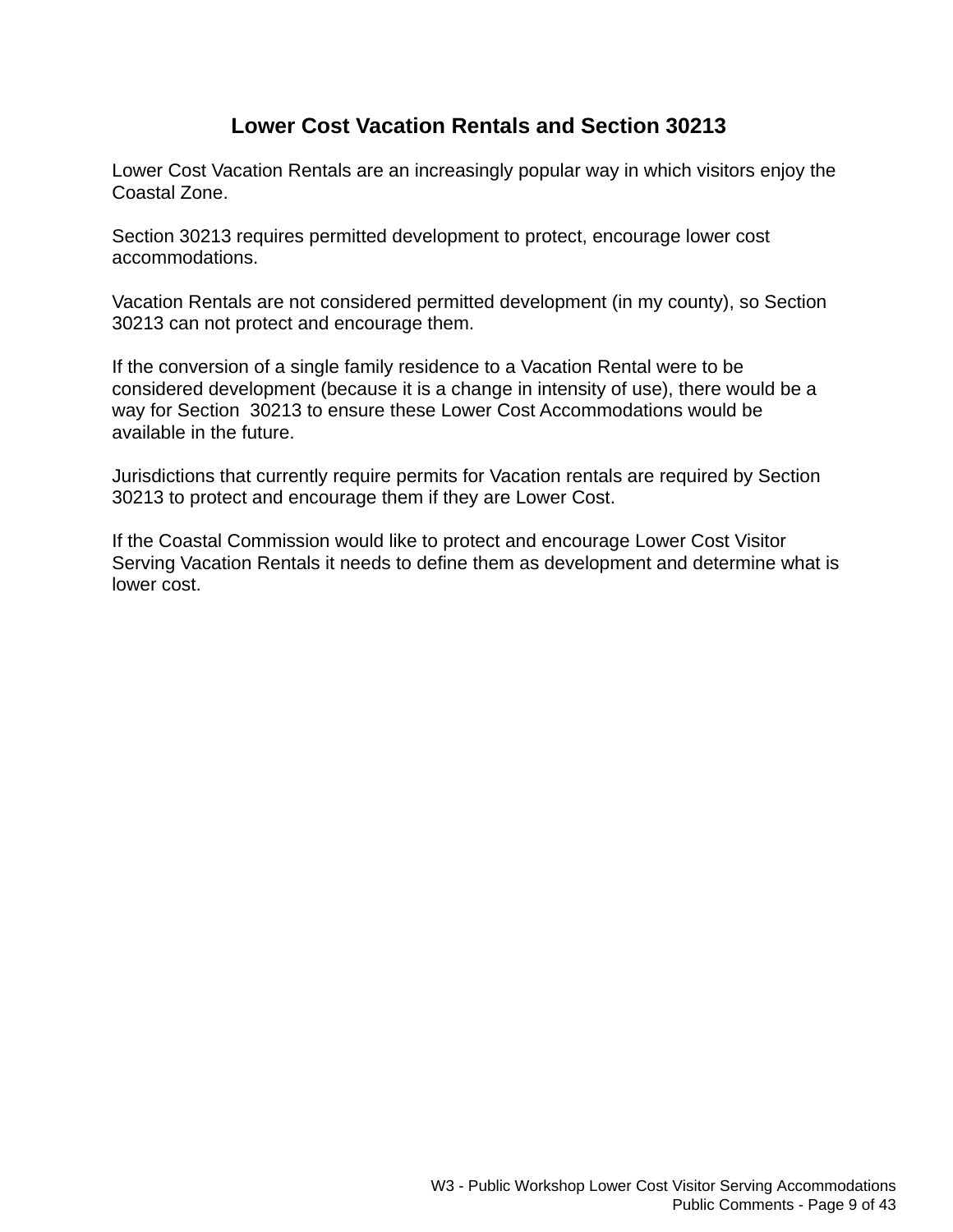## **Lower Cost Vacation Rentals and Section 30213**

Lower Cost Vacation Rentals are an increasingly popular way in which visitors enjoy the Coastal Zone.

Section 30213 requires permitted development to protect, encourage lower cost accommodations.

Vacation Rentals are not considered permitted development (in my county), so Section 30213 can not protect and encourage them.

If the conversion of a single family residence to a Vacation Rental were to be considered development (because it is a change in intensity of use), there would be a way for Section 30213 to ensure these Lower Cost Accommodations would be available in the future.

Jurisdictions that currently require permits for Vacation rentals are required by Section 30213 to protect and encourage them if they are Lower Cost.

If the Coastal Commission would like to protect and encourage Lower Cost Visitor Serving Vacation Rentals it needs to define them as development and determine what is lower cost.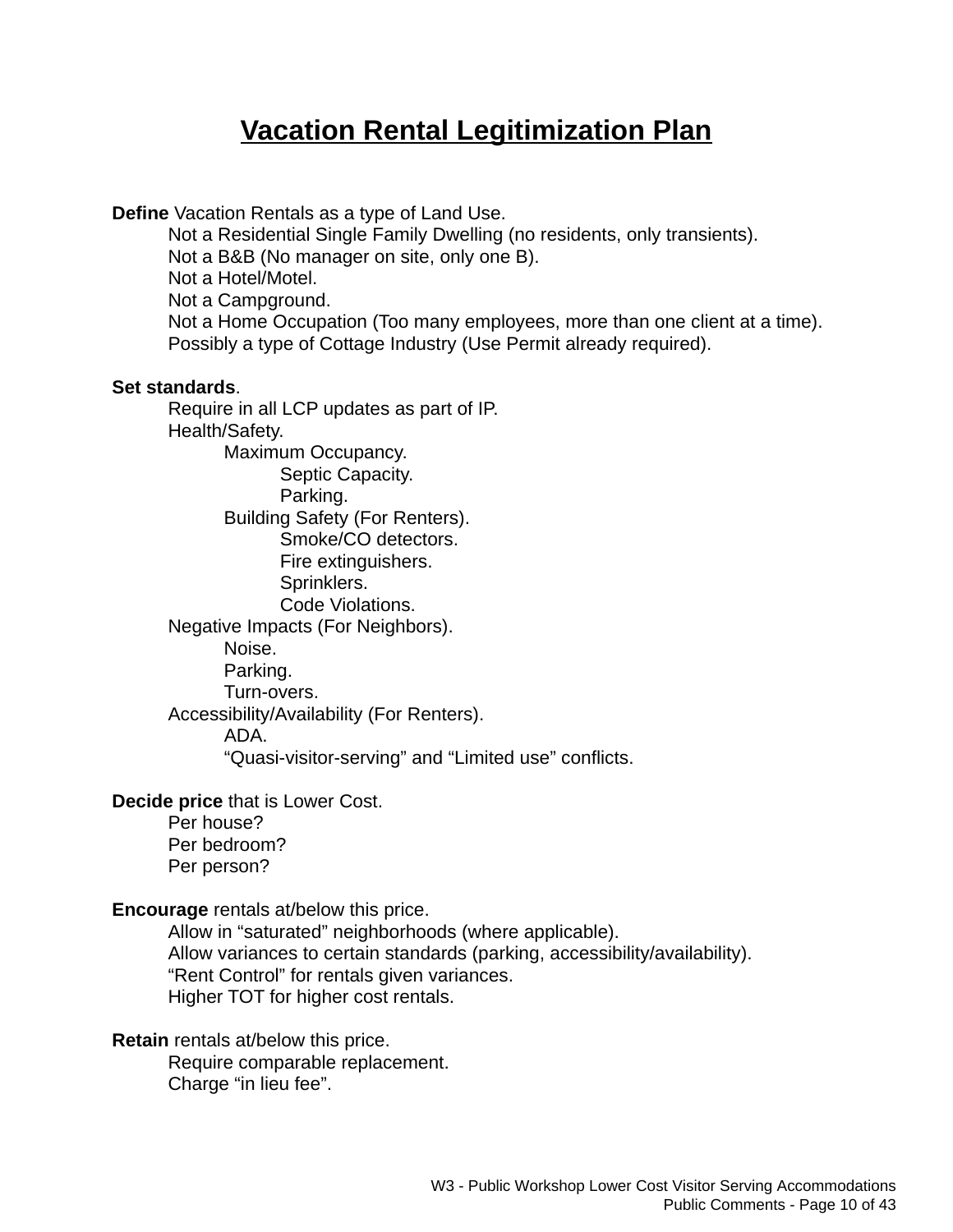# **Vacation Rental Legitimization Plan**

**Define** Vacation Rentals as a type of Land Use.

Not a Residential Single Family Dwelling (no residents, only transients). Not a B&B (No manager on site, only one B). Not a Hotel/Motel. Not a Campground. Not a Home Occupation (Too many employees, more than one client at a time). Possibly a type of Cottage Industry (Use Permit already required).

#### **Set standards**.

Require in all LCP updates as part of IP. Health/Safety. Maximum Occupancy. Septic Capacity. Parking. Building Safety (For Renters). Smoke/CO detectors. Fire extinguishers. Sprinklers. Code Violations. Negative Impacts (For Neighbors). Noise. Parking. Turn-overs. Accessibility/Availability (For Renters). ADA. "Quasi-visitor-serving" and "Limited use" conflicts.

**Decide price** that is Lower Cost.

Per house? Per bedroom? Per person?

**Encourage** rentals at/below this price.

Allow in "saturated" neighborhoods (where applicable). Allow variances to certain standards (parking, accessibility/availability). "Rent Control" for rentals given variances. Higher TOT for higher cost rentals.

**Retain** rentals at/below this price.

Require comparable replacement. Charge "in lieu fee".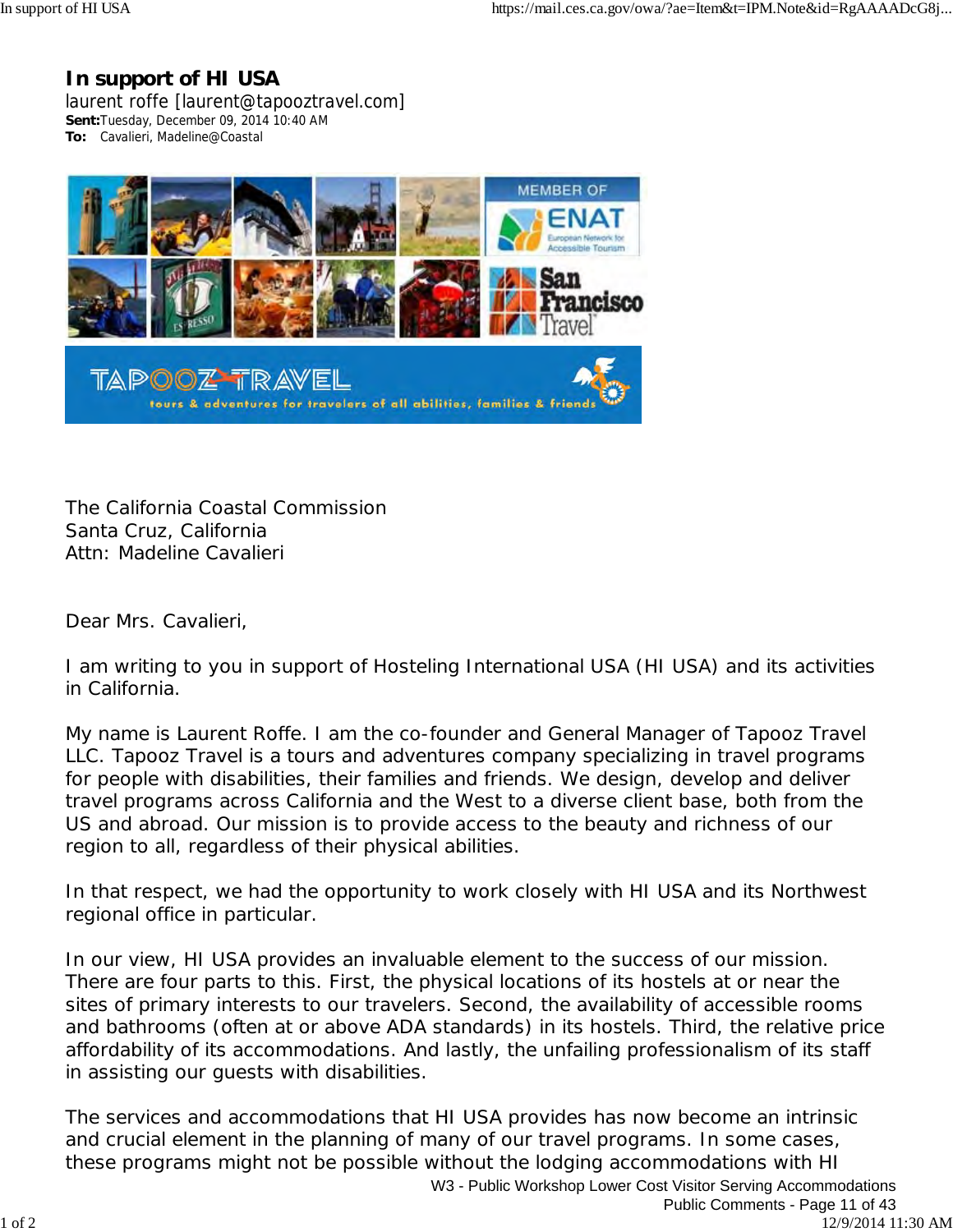### **In support of HI USA**

laurent roffe [laurent@tapooztravel.com] **Sent:**Tuesday, December 09, 2014 10:40 AM **To:** Cavalieri, Madeline@Coastal



The California Coastal Commission Santa Cruz, California Attn: Madeline Cavalieri

Dear Mrs. Cavalieri,

I am writing to you in support of Hosteling International USA (HI USA) and its activities in California.

My name is Laurent Roffe. I am the co-founder and General Manager of Tapooz Travel LLC. Tapooz Travel is a tours and adventures company specializing in travel programs for people with disabilities, their families and friends. We design, develop and deliver travel programs across California and the West to a diverse client base, both from the US and abroad. Our mission is to provide access to the beauty and richness of our region to all, regardless of their physical abilities.

In that respect, we had the opportunity to work closely with HI USA and its Northwest regional office in particular.

In our view, HI USA provides an invaluable element to the success of our mission. There are four parts to this. First, the physical locations of its hostels at or near the sites of primary interests to our travelers. Second, the availability of accessible rooms and bathrooms (often at or above ADA standards) in its hostels. Third, the relative price affordability of its accommodations. And lastly, the unfailing professionalism of its staff in assisting our guests with disabilities.

The services and accommodations that HI USA provides has now become an intrinsic and crucial element in the planning of many of our travel programs. In some cases, these programs might not be possible without the lodging accommodations with HI W3 - Public Workshop Lower Cost Visitor Serving Accommodations Public Comments - Page 11 of 43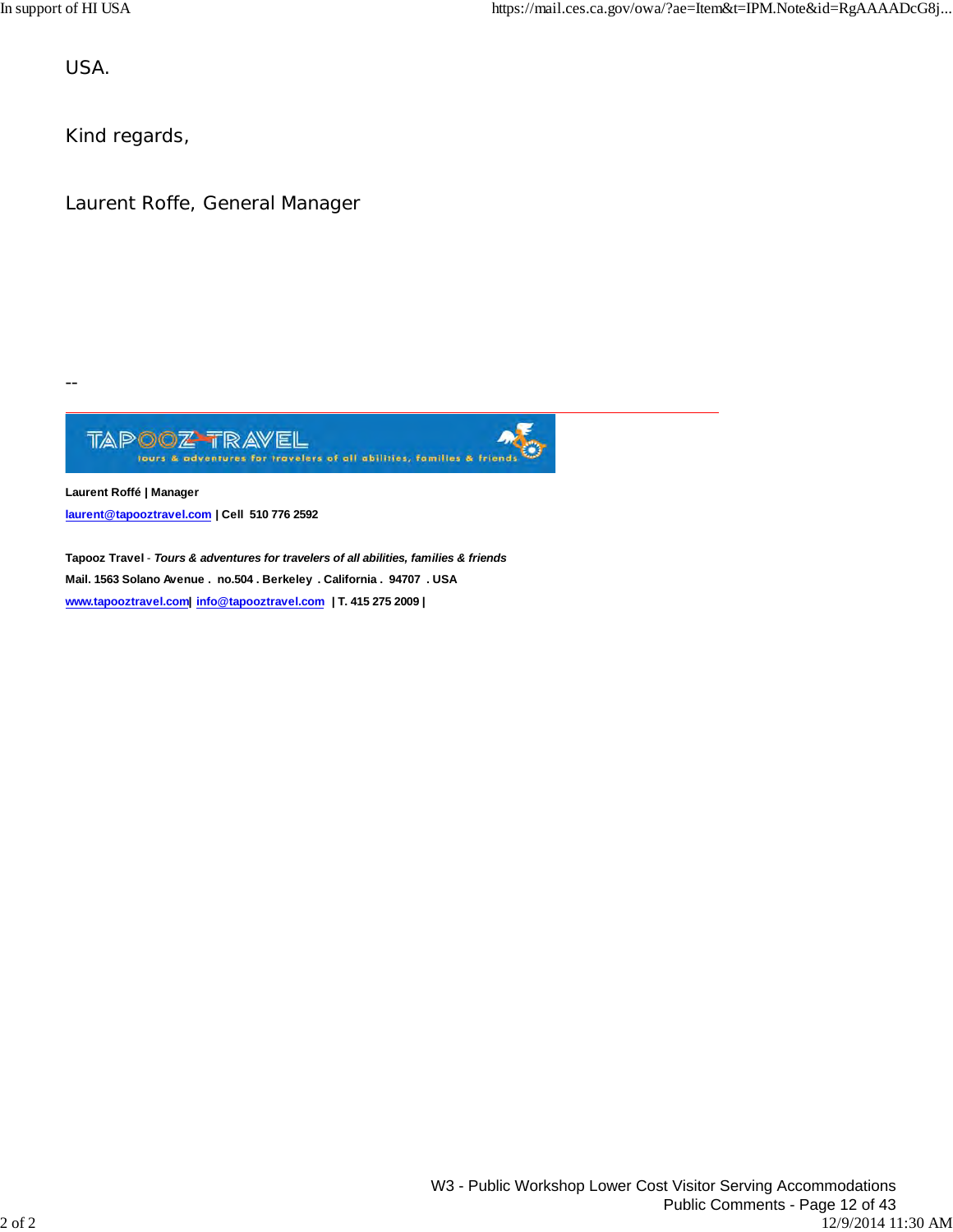USA.

Kind regards,

Laurent Roffe, General Manager

--  $\overline{a}$ 

> Ø

**Laurent Roffé | Manager laurent@tapooztravel.com | Cell 510 776 2592**

**Tapooz Travel** - *Tours & adventures for travelers of all abilities, families & friends* **Mail. 1563 Solano Avenue . no.504 . Berkeley . California . 94707 . USA www.tapooztravel.com| info@tapooztravel.com | T. 415 275 2009 |**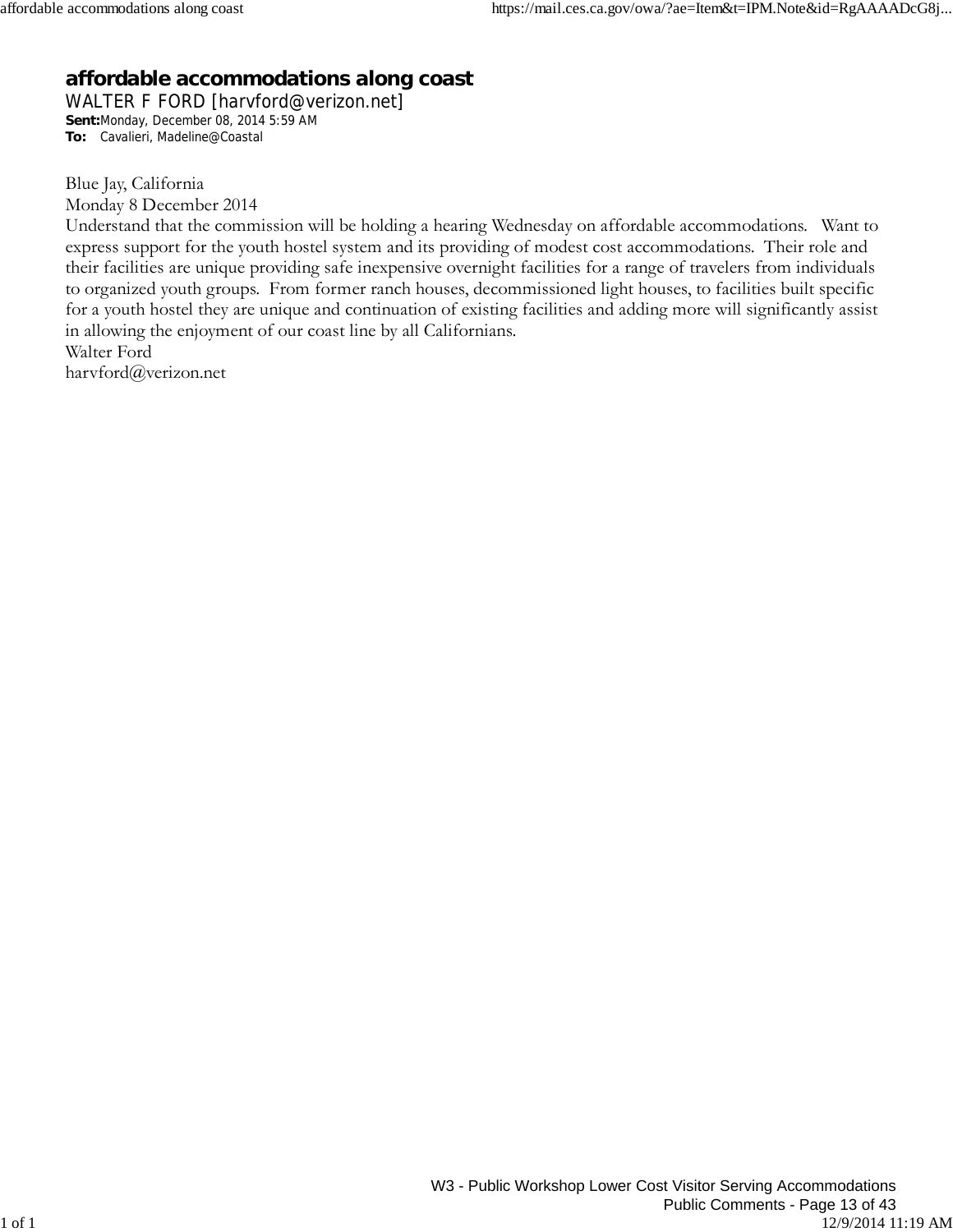## **affordable accommodations along coast**

WALTER F FORD [harvford@verizon.net] **Sent:**Monday, December 08, 2014 5:59 AM **To:** Cavalieri, Madeline@Coastal

Blue Jay, California

Monday 8 December 2014

Understand that the commission will be holding a hearing Wednesday on affordable accommodations. Want to express support for the youth hostel system and its providing of modest cost accommodations. Their role and their facilities are unique providing safe inexpensive overnight facilities for a range of travelers from individuals to organized youth groups. From former ranch houses, decommissioned light houses, to facilities built specific for a youth hostel they are unique and continuation of existing facilities and adding more will significantly assist in allowing the enjoyment of our coast line by all Californians. Walter Ford

harvford@verizon.net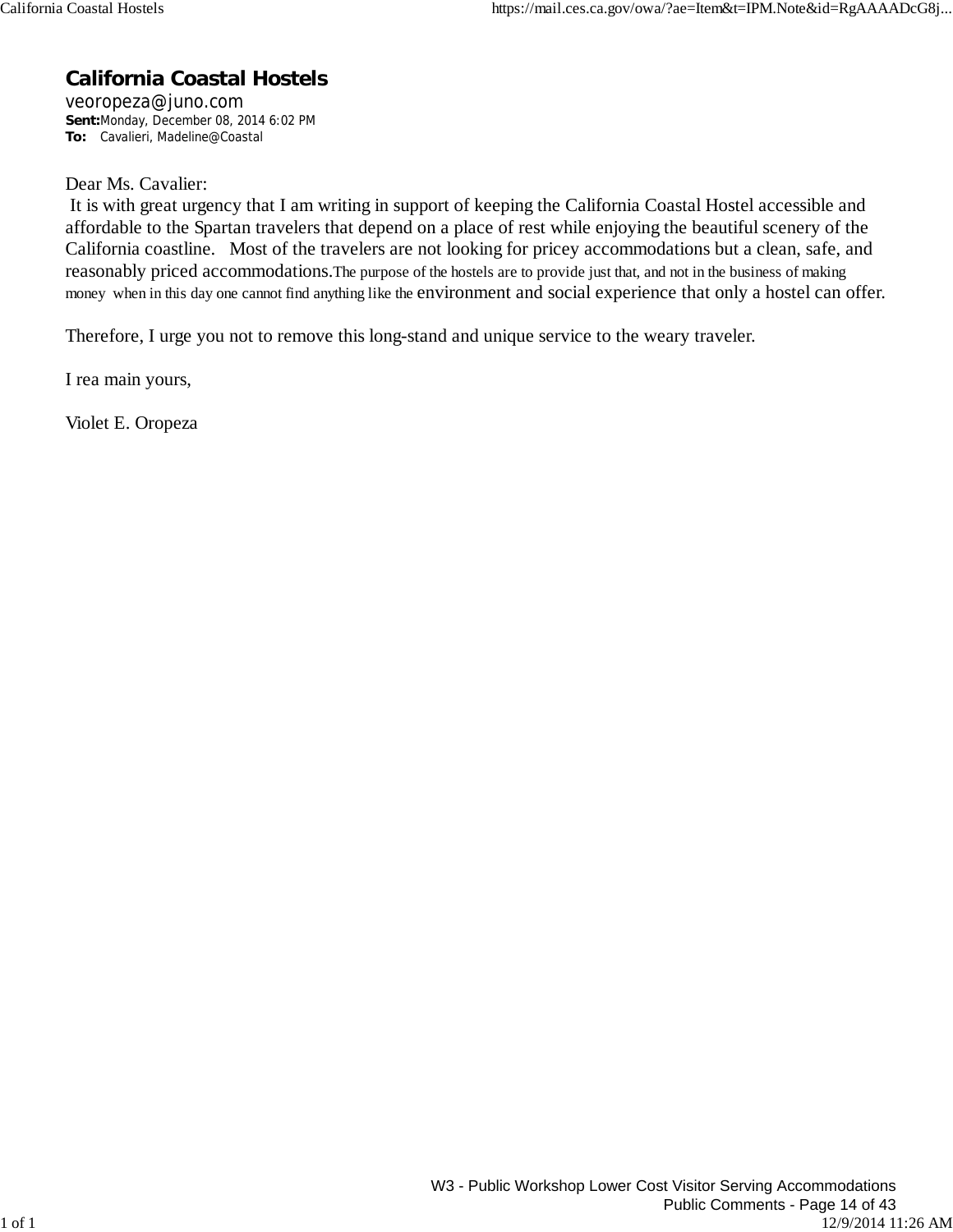## **California Coastal Hostels**

veoropeza@juno.com **Sent:**Monday, December 08, 2014 6:02 PM **To:** Cavalieri, Madeline@Coastal

Dear Ms. Cavalier:

 It is with great urgency that I am writing in support of keeping the California Coastal Hostel accessible and affordable to the Spartan travelers that depend on a place of rest while enjoying the beautiful scenery of the California coastline. Most of the travelers are not looking for pricey accommodations but a clean, safe, and reasonably priced accommodations.The purpose of the hostels are to provide just that, and not in the business of making money when in this day one cannot find anything like the environment and social experience that only a hostel can offer.

Therefore, I urge you not to remove this long-stand and unique service to the weary traveler.

I rea main yours,

Violet E. Oropeza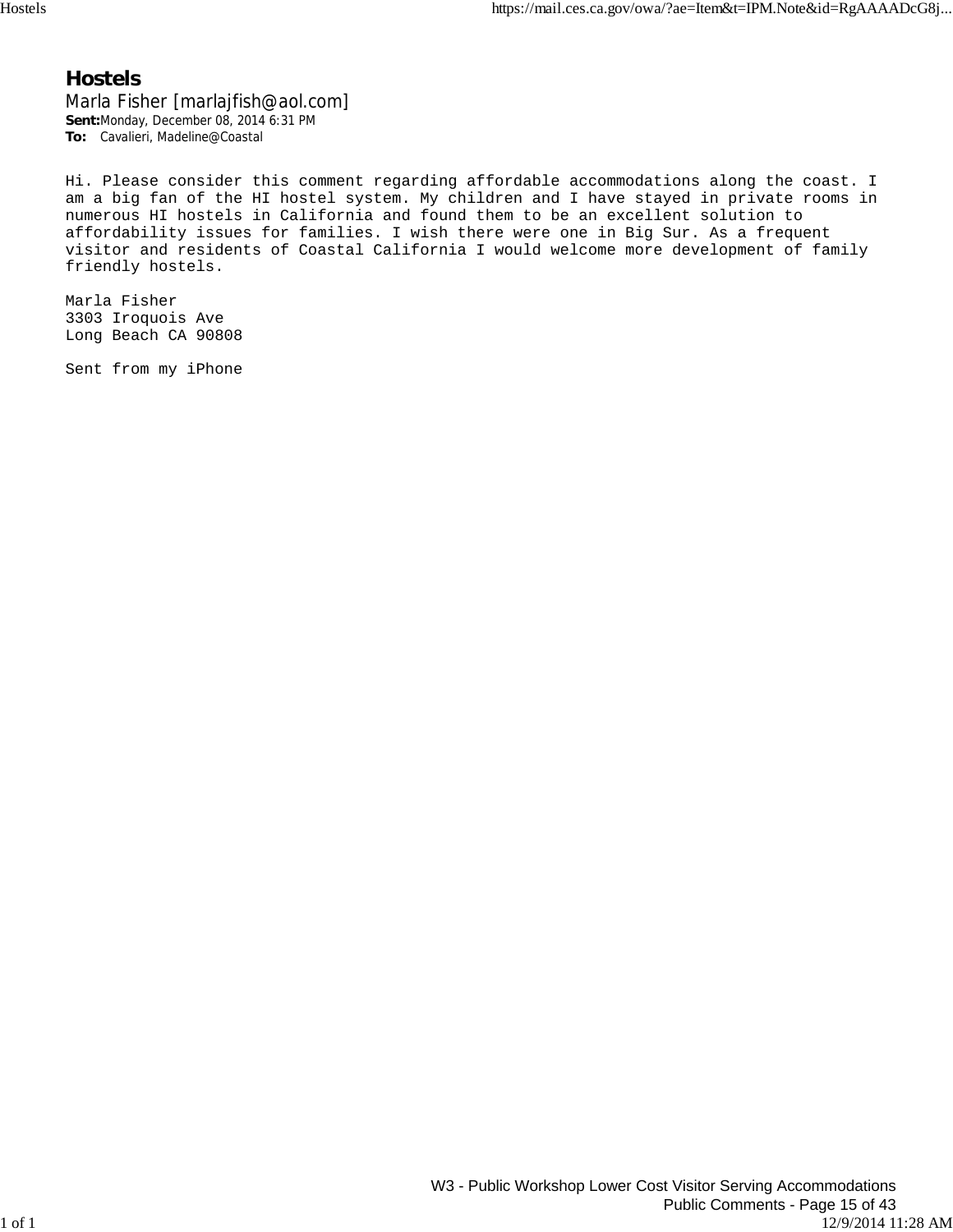#### **Hostels**

Marla Fisher [marlajfish@aol.com] **Sent:**Monday, December 08, 2014 6:31 PM **To:** Cavalieri, Madeline@Coastal

Hi. Please consider this comment regarding affordable accommodations along the coast. I am a big fan of the HI hostel system. My children and I have stayed in private rooms in numerous HI hostels in California and found them to be an excellent solution to affordability issues for families. I wish there were one in Big Sur. As a frequent visitor and residents of Coastal California I would welcome more development of family friendly hostels.

Marla Fisher 3303 Iroquois Ave Long Beach CA 90808

Sent from my iPhone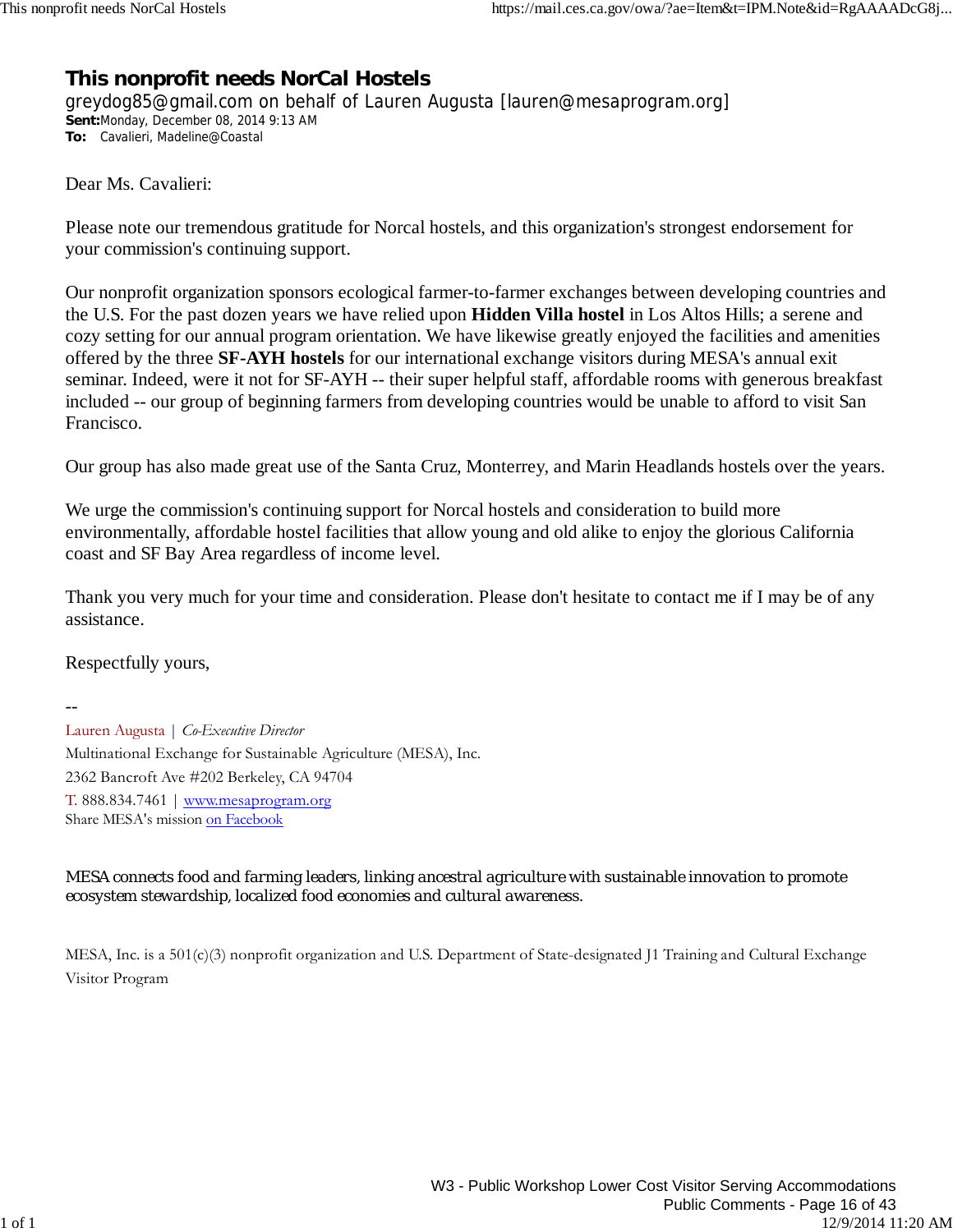## **This nonprofit needs NorCal Hostels**

greydog85@gmail.com on behalf of Lauren Augusta [lauren@mesaprogram.org] **Sent:**Monday, December 08, 2014 9:13 AM **To:** Cavalieri, Madeline@Coastal

Dear Ms. Cavalieri:

Please note our tremendous gratitude for Norcal hostels, and this organization's strongest endorsement for your commission's continuing support.

Our nonprofit organization sponsors ecological farmer-to-farmer exchanges between developing countries and the U.S. For the past dozen years we have relied upon **Hidden Villa hostel** in Los Altos Hills; a serene and cozy setting for our annual program orientation. We have likewise greatly enjoyed the facilities and amenities offered by the three **SF-AYH hostels** for our international exchange visitors during MESA's annual exit seminar. Indeed, were it not for SF-AYH -- their super helpful staff, affordable rooms with generous breakfast included -- our group of beginning farmers from developing countries would be unable to afford to visit San Francisco.

Our group has also made great use of the Santa Cruz, Monterrey, and Marin Headlands hostels over the years.

We urge the commission's continuing support for Norcal hostels and consideration to build more environmentally, affordable hostel facilities that allow young and old alike to enjoy the glorious California coast and SF Bay Area regardless of income level.

Thank you very much for your time and consideration. Please don't hesitate to contact me if I may be of any assistance.

Respectfully yours,

-- Lauren Augusta | *Co-Executive Director* Multinational Exchange for Sustainable Agriculture (MESA), Inc. 2362 Bancroft Ave #202 Berkeley, CA 94704 T. 888.834.7461 | www.mesaprogram.org Share MESA's mission on Facebook

*MESA connects food and farming leaders, linking ancestral agriculture with sustainable innovation to promote ecosystem stewardship, localized food economies and cultural awareness.* 

MESA, Inc. is a 501(c)(3) nonprofit organization and U.S. Department of State-designated J1 Training and Cultural Exchange Visitor Program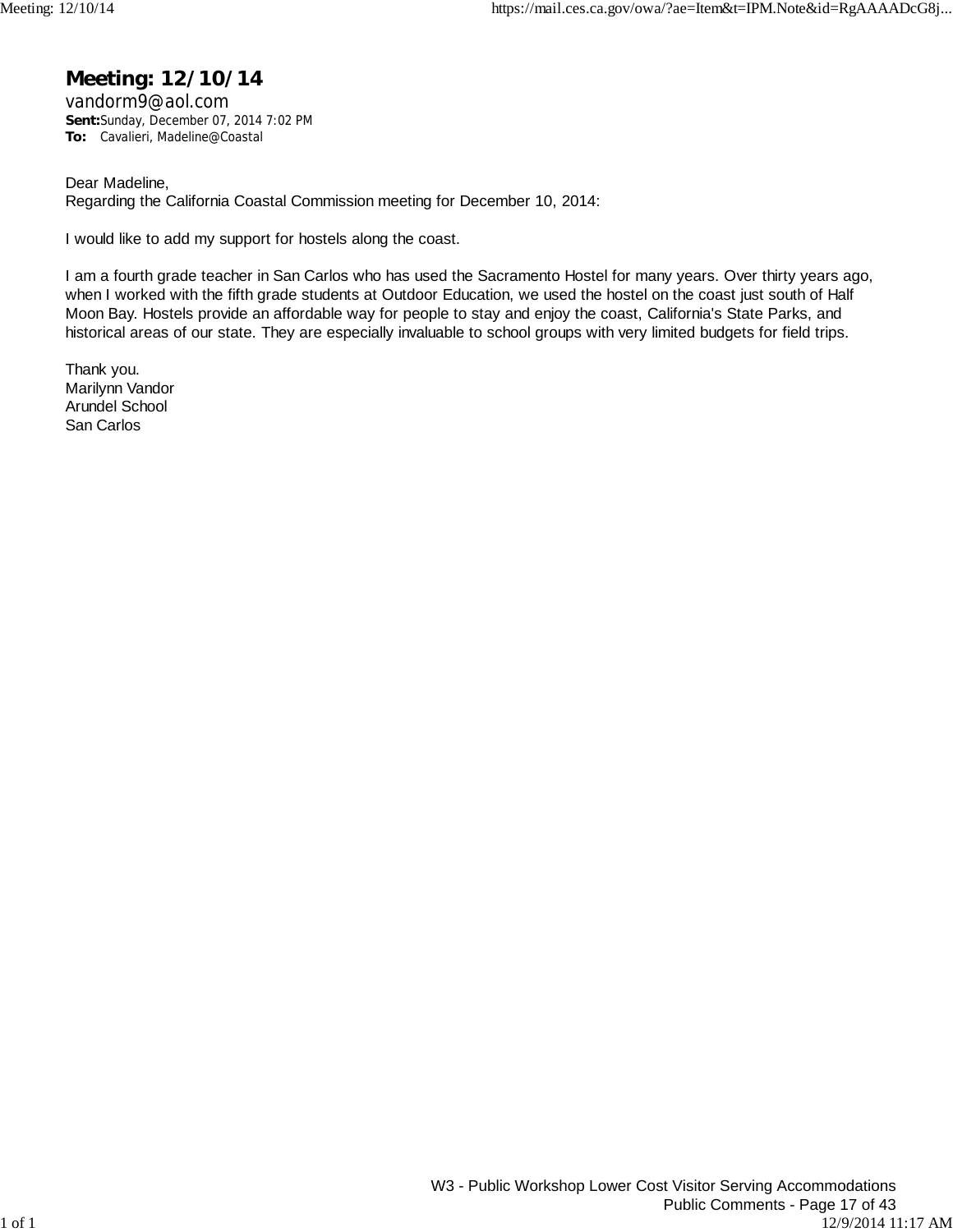### **Meeting: 12/10/14**

vandorm9@aol.com **Sent:**Sunday, December 07, 2014 7:02 PM **To:** Cavalieri, Madeline@Coastal

Dear Madeline, Regarding the California Coastal Commission meeting for December 10, 2014:

I would like to add my support for hostels along the coast.

I am a fourth grade teacher in San Carlos who has used the Sacramento Hostel for many years. Over thirty years ago, when I worked with the fifth grade students at Outdoor Education, we used the hostel on the coast just south of Half Moon Bay. Hostels provide an affordable way for people to stay and enjoy the coast, California's State Parks, and historical areas of our state. They are especially invaluable to school groups with very limited budgets for field trips.

Thank you. Marilynn Vandor Arundel School San Carlos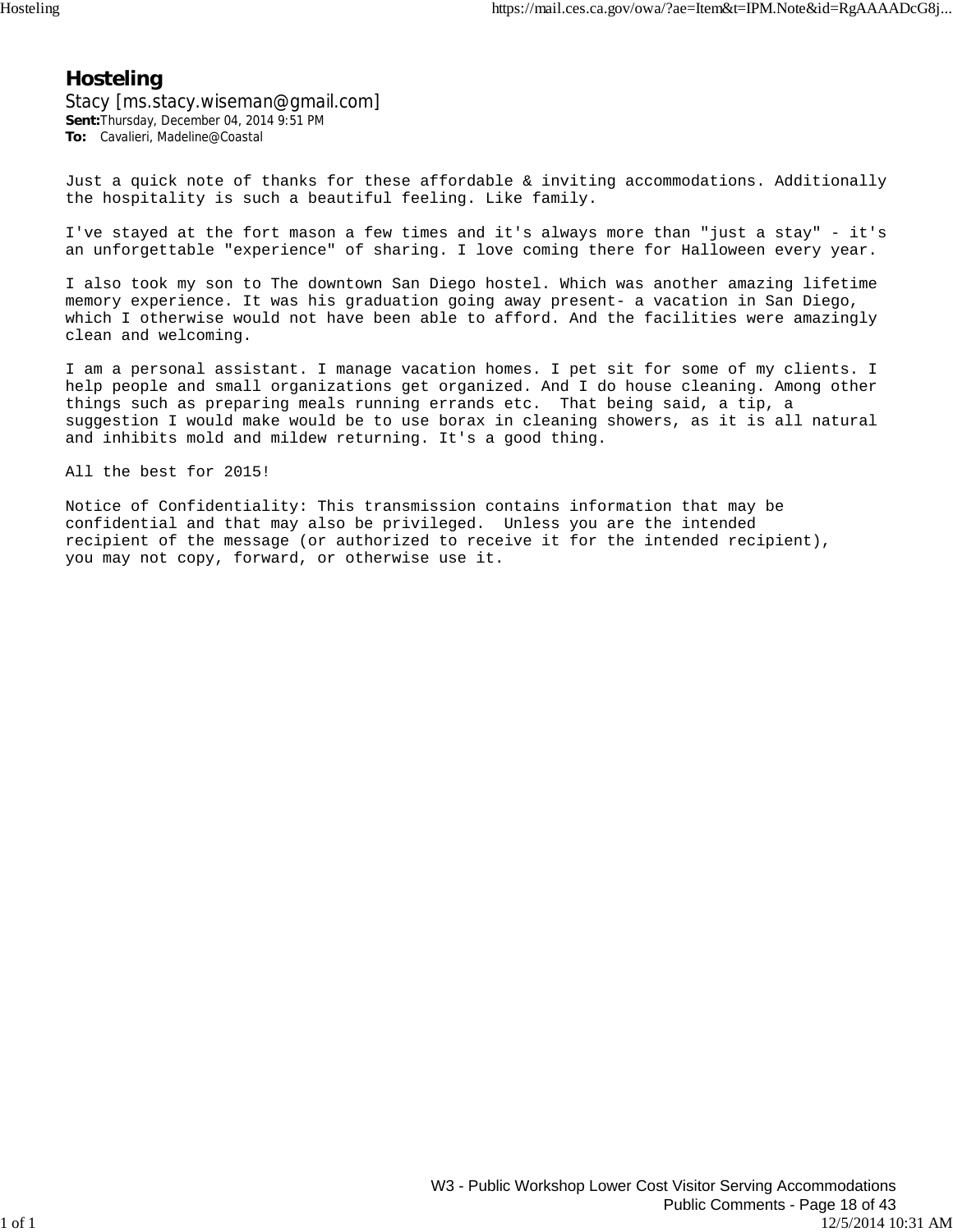### **Hosteling**

Stacy [ms.stacy.wiseman@gmail.com] **Sent:**Thursday, December 04, 2014 9:51 PM **To:** Cavalieri, Madeline@Coastal

Just a quick note of thanks for these affordable & inviting accommodations. Additionally the hospitality is such a beautiful feeling. Like family.

I've stayed at the fort mason a few times and it's always more than "just a stay" - it's an unforgettable "experience" of sharing. I love coming there for Halloween every year.

I also took my son to The downtown San Diego hostel. Which was another amazing lifetime memory experience. It was his graduation going away present- a vacation in San Diego, which I otherwise would not have been able to afford. And the facilities were amazingly clean and welcoming.

I am a personal assistant. I manage vacation homes. I pet sit for some of my clients. I help people and small organizations get organized. And I do house cleaning. Among other things such as preparing meals running errands etc. That being said, a tip, a suggestion I would make would be to use borax in cleaning showers, as it is all natural and inhibits mold and mildew returning. It's a good thing.

All the best for 2015!

Notice of Confidentiality: This transmission contains information that may be confidential and that may also be privileged. Unless you are the intended recipient of the message (or authorized to receive it for the intended recipient), you may not copy, forward, or otherwise use it.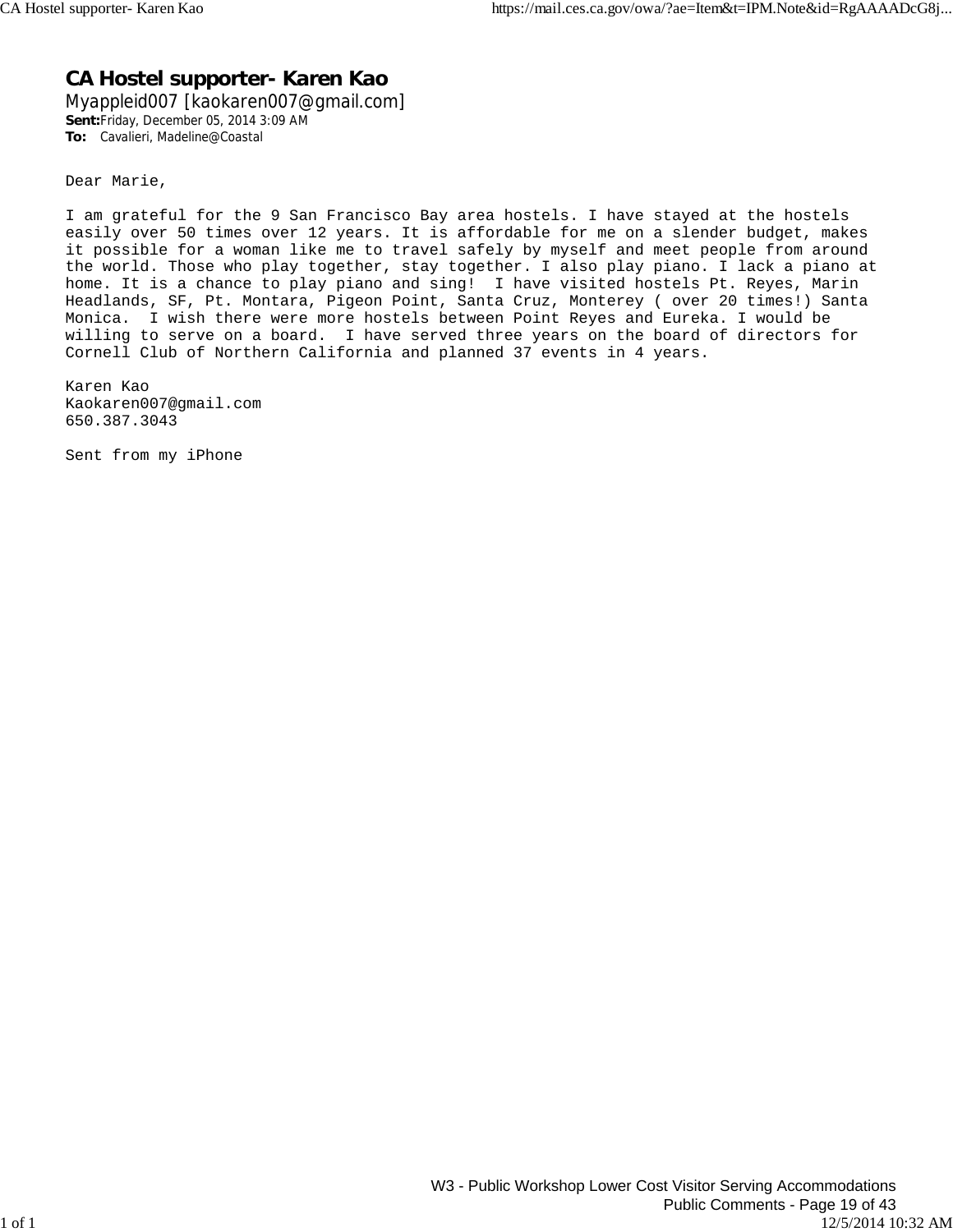## **CA Hostel supporter- Karen Kao**

Myappleid007 [kaokaren007@gmail.com] **Sent:**Friday, December 05, 2014 3:09 AM **To:** Cavalieri, Madeline@Coastal

Dear Marie,

I am grateful for the 9 San Francisco Bay area hostels. I have stayed at the hostels easily over 50 times over 12 years. It is affordable for me on a slender budget, makes it possible for a woman like me to travel safely by myself and meet people from around the world. Those who play together, stay together. I also play piano. I lack a piano at home. It is a chance to play piano and sing! I have visited hostels Pt. Reyes, Marin Headlands, SF, Pt. Montara, Pigeon Point, Santa Cruz, Monterey ( over 20 times!) Santa Monica. I wish there were more hostels between Point Reyes and Eureka. I would be willing to serve on a board. I have served three years on the board of directors for Cornell Club of Northern California and planned 37 events in 4 years.

Karen Kao Kaokaren007@gmail.com 650.387.3043

Sent from my iPhone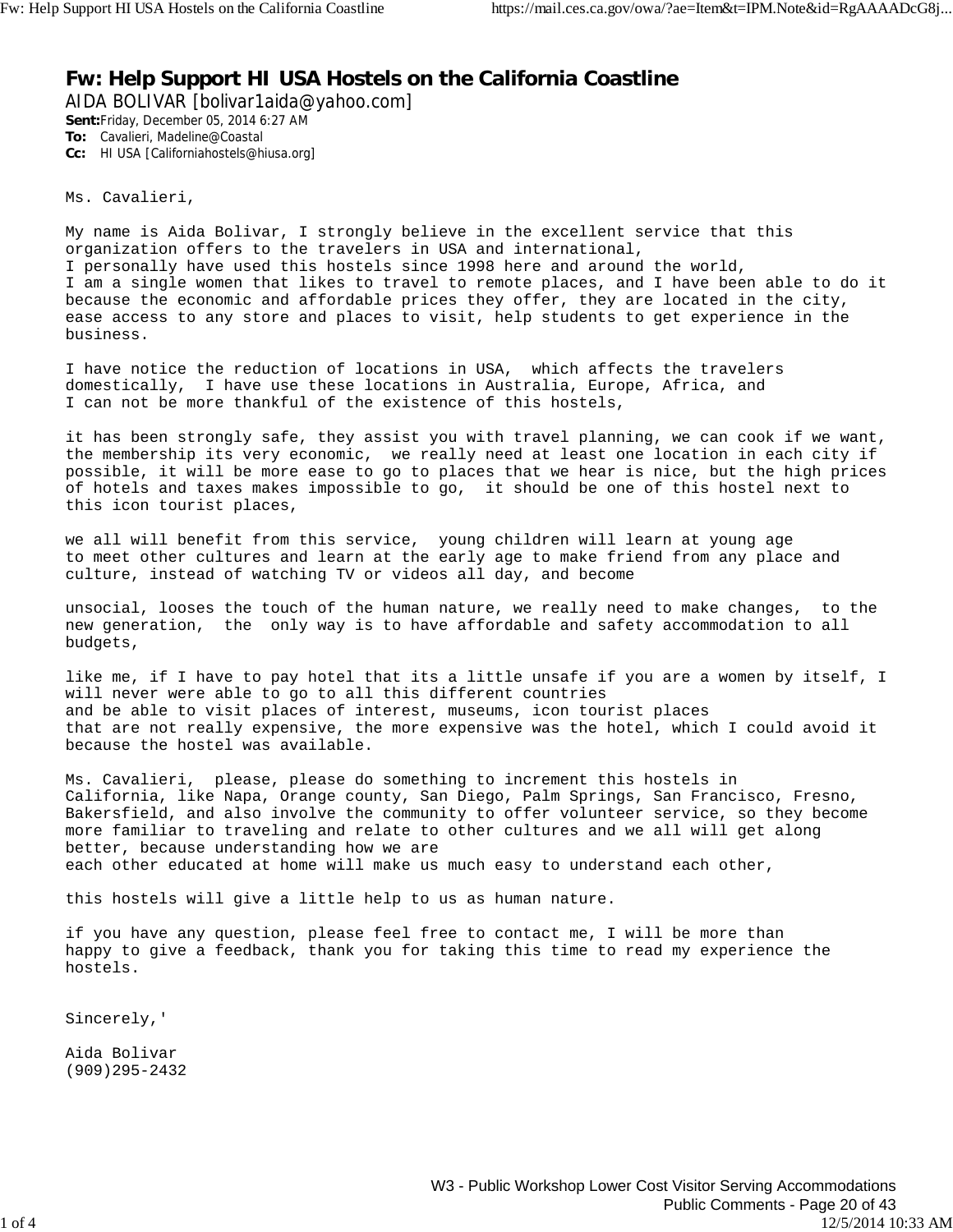### **Fw: Help Support HI USA Hostels on the California Coastline**

AIDA BOLIVAR [bolivar1aida@yahoo.com] **Sent:**Friday, December 05, 2014 6:27 AM **To:** Cavalieri, Madeline@Coastal **Cc:** HI USA [Californiahostels@hiusa.org]

Ms. Cavalieri,

My name is Aida Bolivar, I strongly believe in the excellent service that this organization offers to the travelers in USA and international, I personally have used this hostels since 1998 here and around the world, I am a single women that likes to travel to remote places, and I have been able to do it because the economic and affordable prices they offer, they are located in the city, ease access to any store and places to visit, help students to get experience in the business.

I have notice the reduction of locations in USA, which affects the travelers domestically, I have use these locations in Australia, Europe, Africa, and I can not be more thankful of the existence of this hostels,

it has been strongly safe, they assist you with travel planning, we can cook if we want, the membership its very economic, we really need at least one location in each city if possible, it will be more ease to go to places that we hear is nice, but the high prices of hotels and taxes makes impossible to go, it should be one of this hostel next to this icon tourist places,

we all will benefit from this service, young children will learn at young age to meet other cultures and learn at the early age to make friend from any place and culture, instead of watching TV or videos all day, and become

unsocial, looses the touch of the human nature, we really need to make changes, to the new generation, the only way is to have affordable and safety accommodation to all budgets,

like me, if I have to pay hotel that its a little unsafe if you are a women by itself, I will never were able to go to all this different countries and be able to visit places of interest, museums, icon tourist places that are not really expensive, the more expensive was the hotel, which I could avoid it because the hostel was available.

Ms. Cavalieri, please, please do something to increment this hostels in California, like Napa, Orange county, San Diego, Palm Springs, San Francisco, Fresno, Bakersfield, and also involve the community to offer volunteer service, so they become more familiar to traveling and relate to other cultures and we all will get along better, because understanding how we are each other educated at home will make us much easy to understand each other,

this hostels will give a little help to us as human nature.

if you have any question, please feel free to contact me, I will be more than happy to give a feedback, thank you for taking this time to read my experience the hostels.

Sincerely,'

Aida Bolivar (909)295-2432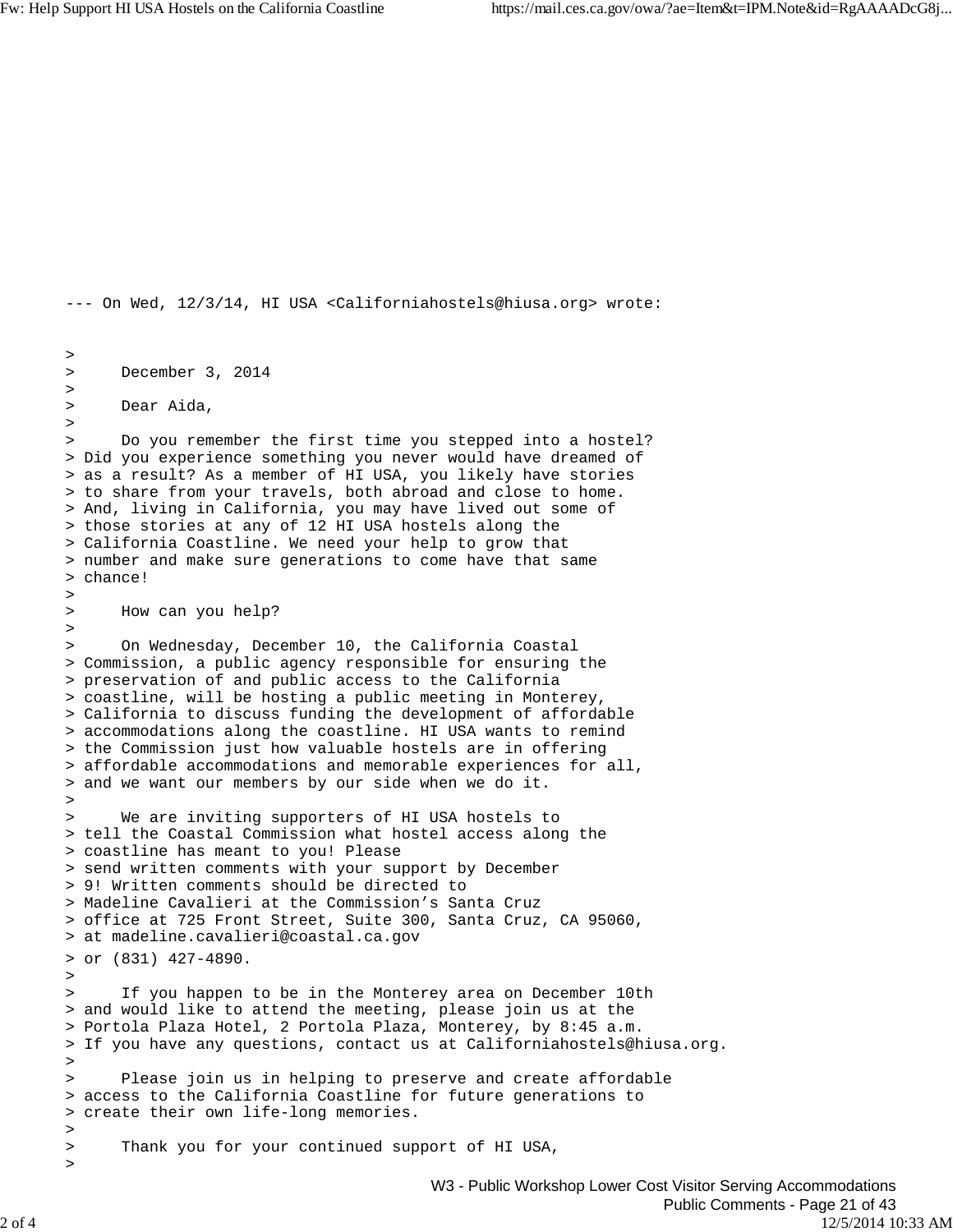```
--- On Wed, 12/3/14, HI USA <Californiahostels@hiusa.org> wrote:
> 
> December 3, 2014
>
> Dear Aida,
>
> Do you remember the first time you stepped into a hostel?
> Did you experience something you never would have dreamed of
> as a result? As a member of HI USA, you likely have stories
> to share from your travels, both abroad and close to home.
> And, living in California, you may have lived out some of
> those stories at any of 12 HI USA hostels along the
> California Coastline. We need your help to grow that
> number and make sure generations to come have that same
> chance!
>
> How can you help?
>
> On Wednesday, December 10, the California Coastal
> Commission, a public agency responsible for ensuring the
> preservation of and public access to the California
> coastline, will be hosting a public meeting in Monterey,
> California to discuss funding the development of affordable
> accommodations along the coastline. HI USA wants to remind
> the Commission just how valuable hostels are in offering
> affordable accommodations and memorable experiences for all,
> and we want our members by our side when we do it.
>
> We are inviting supporters of HI USA hostels to
> tell the Coastal Commission what hostel access along the
> coastline has meant to you! Please
> send written comments with your support by December
> 9! Written comments should be directed to
> Madeline Cavalieri at the Commission's Santa Cruz
> office at 725 Front Street, Suite 300, Santa Cruz, CA 95060,
> at madeline.cavalieri@coastal.ca.gov
> or (831) 427-4890.
>
> If you happen to be in the Monterey area on December 10th
> and would like to attend the meeting, please join us at the
> Portola Plaza Hotel, 2 Portola Plaza, Monterey, by 8:45 a.m.
> If you have any questions, contact us at Californiahostels@hiusa.org. 
>
> Please join us in helping to preserve and create affordable
> access to the California Coastline for future generations to
> create their own life-long memories.
>
> Thank you for your continued support of HI USA,
>
```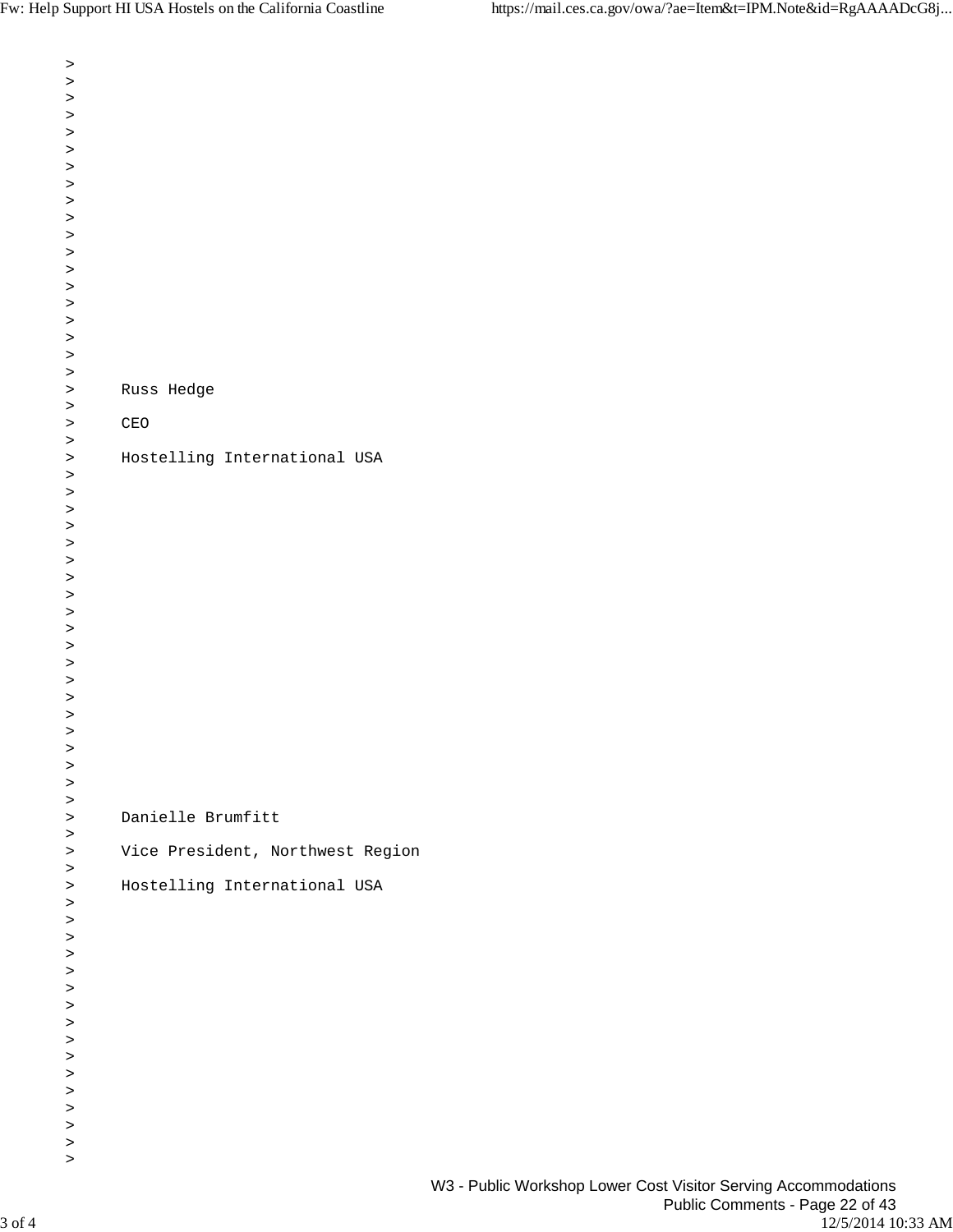| $\, >$    |                                  |  |  |
|-----------|----------------------------------|--|--|
| $\, >$    |                                  |  |  |
| $\,$      |                                  |  |  |
| $\, >$    |                                  |  |  |
| $\, >$    |                                  |  |  |
| $\, >$    |                                  |  |  |
| $\, >$    |                                  |  |  |
| $\, >$    |                                  |  |  |
| $\,$      |                                  |  |  |
| $\, >$    |                                  |  |  |
| $\, >$    |                                  |  |  |
| $\, >$    |                                  |  |  |
| $\, >$    |                                  |  |  |
| $\, >$    |                                  |  |  |
| $\,$      |                                  |  |  |
| $\, >$    |                                  |  |  |
| $\, >$    |                                  |  |  |
| $\, >$    |                                  |  |  |
| $\, >$    |                                  |  |  |
| $\,$      | Russ Hedge                       |  |  |
| $\,$      |                                  |  |  |
| $\, >$    | $\mathop{\mathtt{CEO}}$          |  |  |
| $\, >$    |                                  |  |  |
| $\, >$    | Hostelling International USA     |  |  |
| $\, >$    |                                  |  |  |
| $\, >$    |                                  |  |  |
| $\,$      |                                  |  |  |
| $\, >$    |                                  |  |  |
| $\, >$    |                                  |  |  |
| $\, >$    |                                  |  |  |
| $\, >$    |                                  |  |  |
|           |                                  |  |  |
| $\, >$    |                                  |  |  |
| $\,$      |                                  |  |  |
| $\, >$    |                                  |  |  |
| $\, >$    |                                  |  |  |
| $\, >$    |                                  |  |  |
| $\, >$    |                                  |  |  |
| $\, >$    |                                  |  |  |
| $\,>$     |                                  |  |  |
| $\, >$    |                                  |  |  |
| ↗         |                                  |  |  |
| $\, >$    |                                  |  |  |
| $\, >$    |                                  |  |  |
| $\, > \,$ |                                  |  |  |
| $\, >$    | Danielle Brumfitt                |  |  |
| $\, >$    |                                  |  |  |
| $\, >$    | Vice President, Northwest Region |  |  |
| $\,$      |                                  |  |  |
| $\, >$    | Hostelling International USA     |  |  |
| $\,$      |                                  |  |  |
| $\,$      |                                  |  |  |
| $\, >$    |                                  |  |  |
| $\, >$    |                                  |  |  |
| $\, >$    |                                  |  |  |
| $\, >$    |                                  |  |  |
| $\, >$    |                                  |  |  |
| $\, >$    |                                  |  |  |
| $\, >$    |                                  |  |  |
| $\, >$    |                                  |  |  |
| $\, >$    |                                  |  |  |
| $\, >$    |                                  |  |  |
| $\, >$    |                                  |  |  |
| $\, >$    |                                  |  |  |
| $\,$      |                                  |  |  |
| $\,$      |                                  |  |  |
|           |                                  |  |  |
|           |                                  |  |  |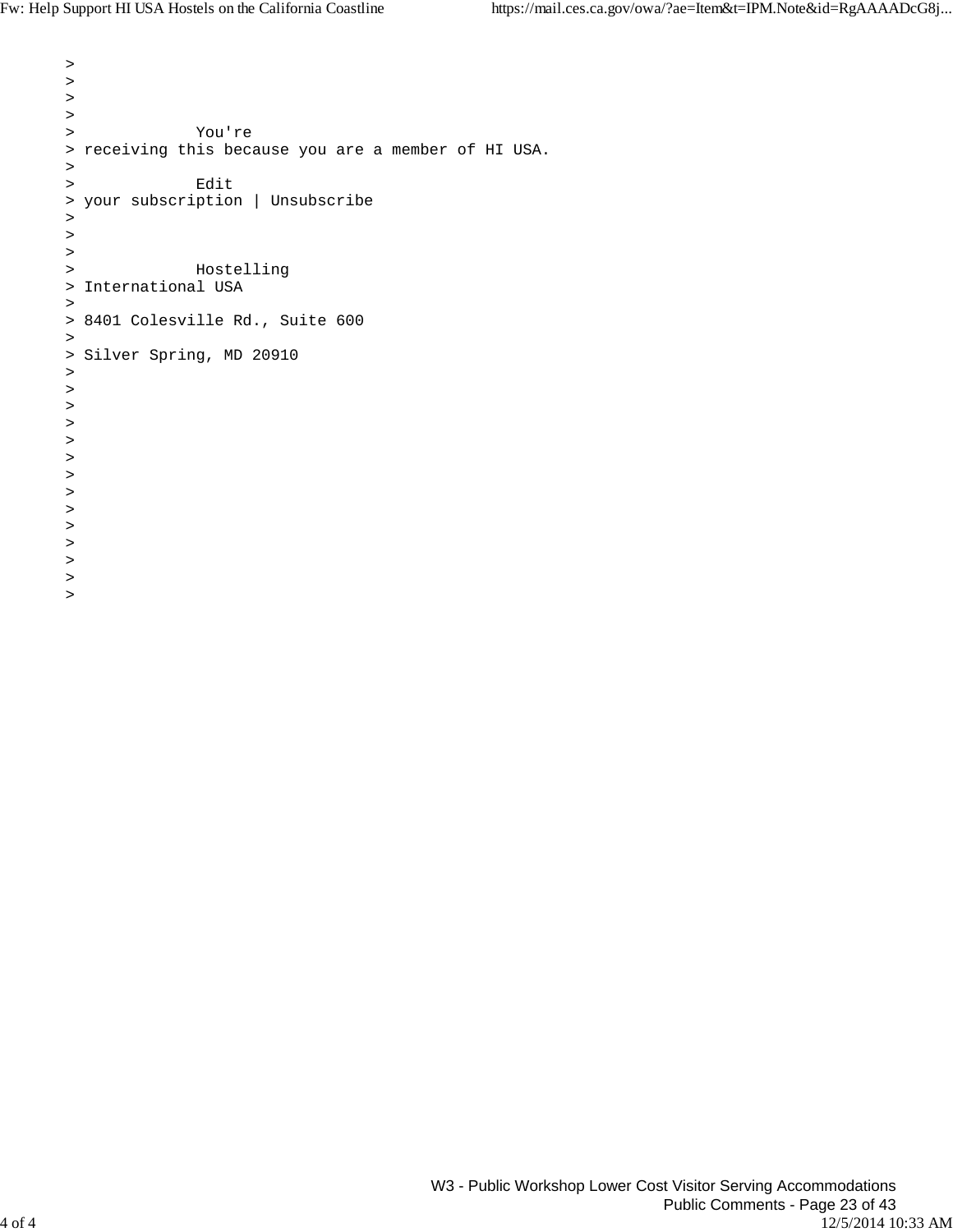$\rightarrow$ 

```
> 
\, > \,> 
> You're
> receiving this because you are a member of HI USA.
>
> Edit
> your subscription | Unsubscribe
> 
\,>\, > \,> Hostelling
> International USA
>
> 8401 Colesville Rd., Suite 600
>
> Silver Spring, MD 20910
\, > \,> 
\, > \,> 
\, > \,\, > \,\, > \,> 
\, > \,> 
> 
\, > \,>
>
```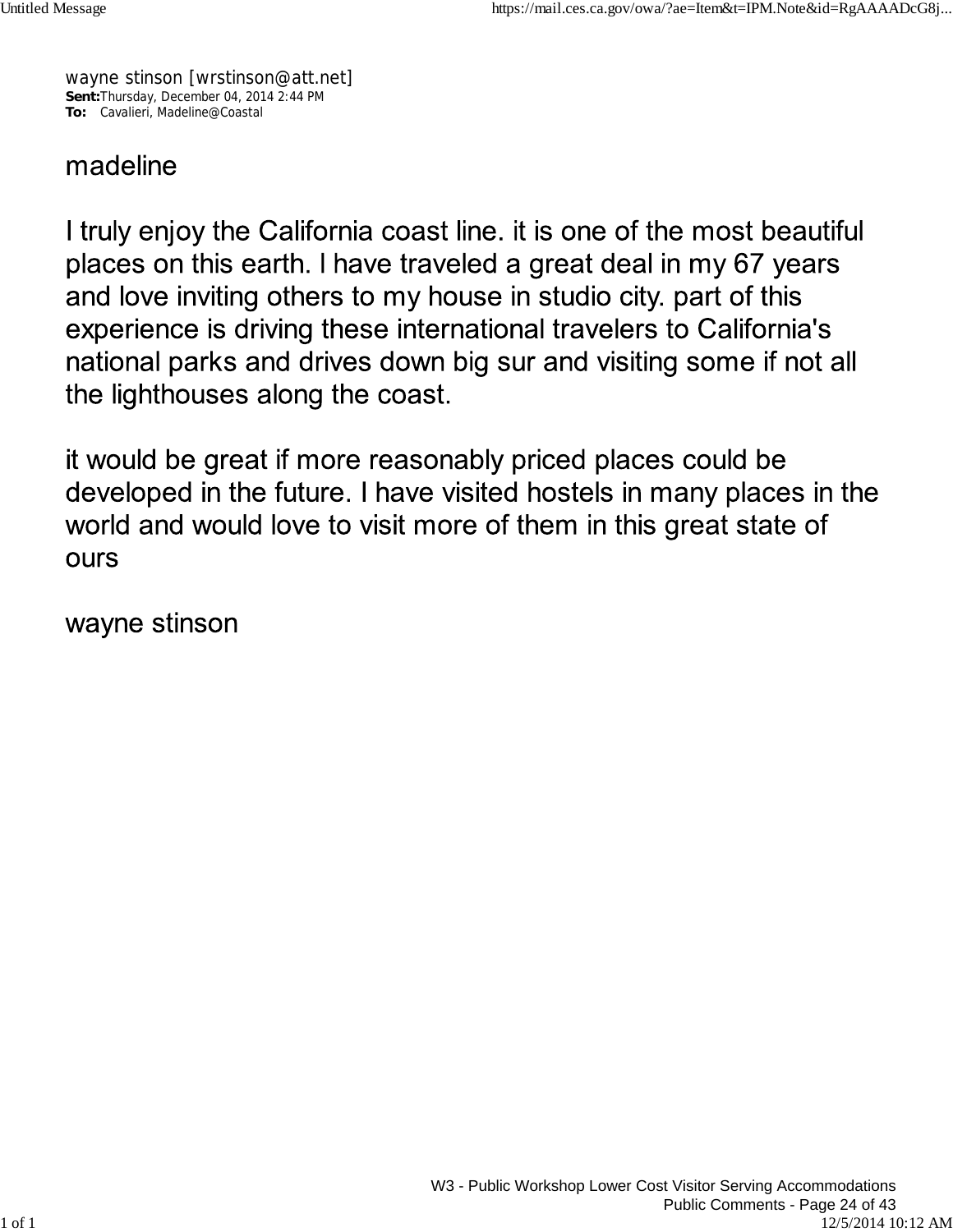wayne stinson [wrstinson@att.net] **Sent:**Thursday, December 04, 2014 2:44 PM **To:** Cavalieri, Madeline@Coastal

# madeline

I truly enjoy the California coast line. it is one of the most beautiful places on this earth. I have traveled a great deal in my 67 years and love inviting others to my house in studio city. part of this experience is driving these international travelers to California's national parks and drives down big sur and visiting some if not all the lighthouses along the coast.

it would be great if more reasonably priced places could be developed in the future. I have visited hostels in many places in the world and would love to visit more of them in this great state of **OUrs** 

wayne stinson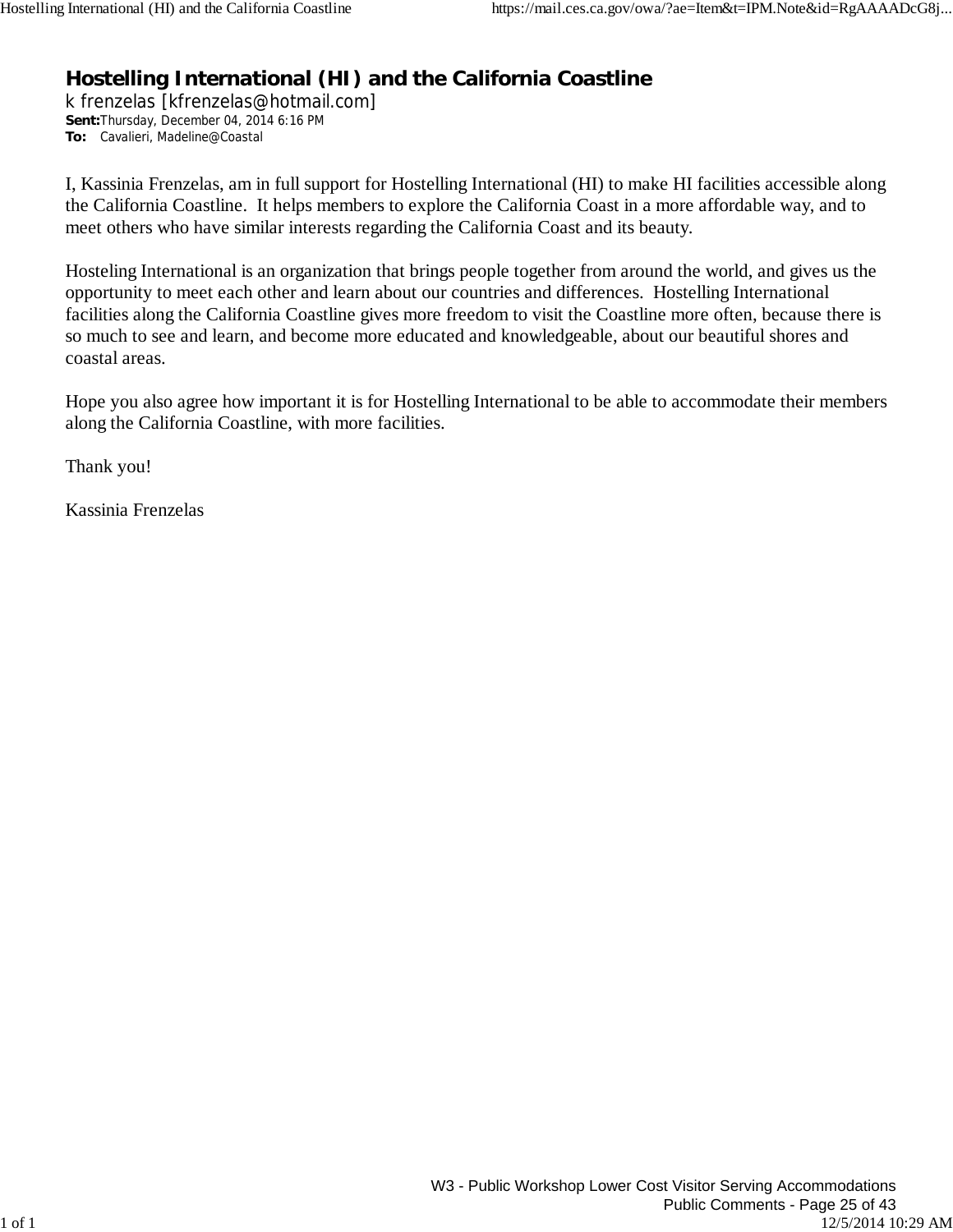## **Hostelling International (HI) and the California Coastline**

k frenzelas [kfrenzelas@hotmail.com] **Sent:**Thursday, December 04, 2014 6:16 PM **To:** Cavalieri, Madeline@Coastal

I, Kassinia Frenzelas, am in full support for Hostelling International (HI) to make HI facilities accessible along the California Coastline. It helps members to explore the California Coast in a more affordable way, and to meet others who have similar interests regarding the California Coast and its beauty.

Hosteling International is an organization that brings people together from around the world, and gives us the opportunity to meet each other and learn about our countries and differences. Hostelling International facilities along the California Coastline gives more freedom to visit the Coastline more often, because there is so much to see and learn, and become more educated and knowledgeable, about our beautiful shores and coastal areas.

Hope you also agree how important it is for Hostelling International to be able to accommodate their members along the California Coastline, with more facilities.

Thank you!

Kassinia Frenzelas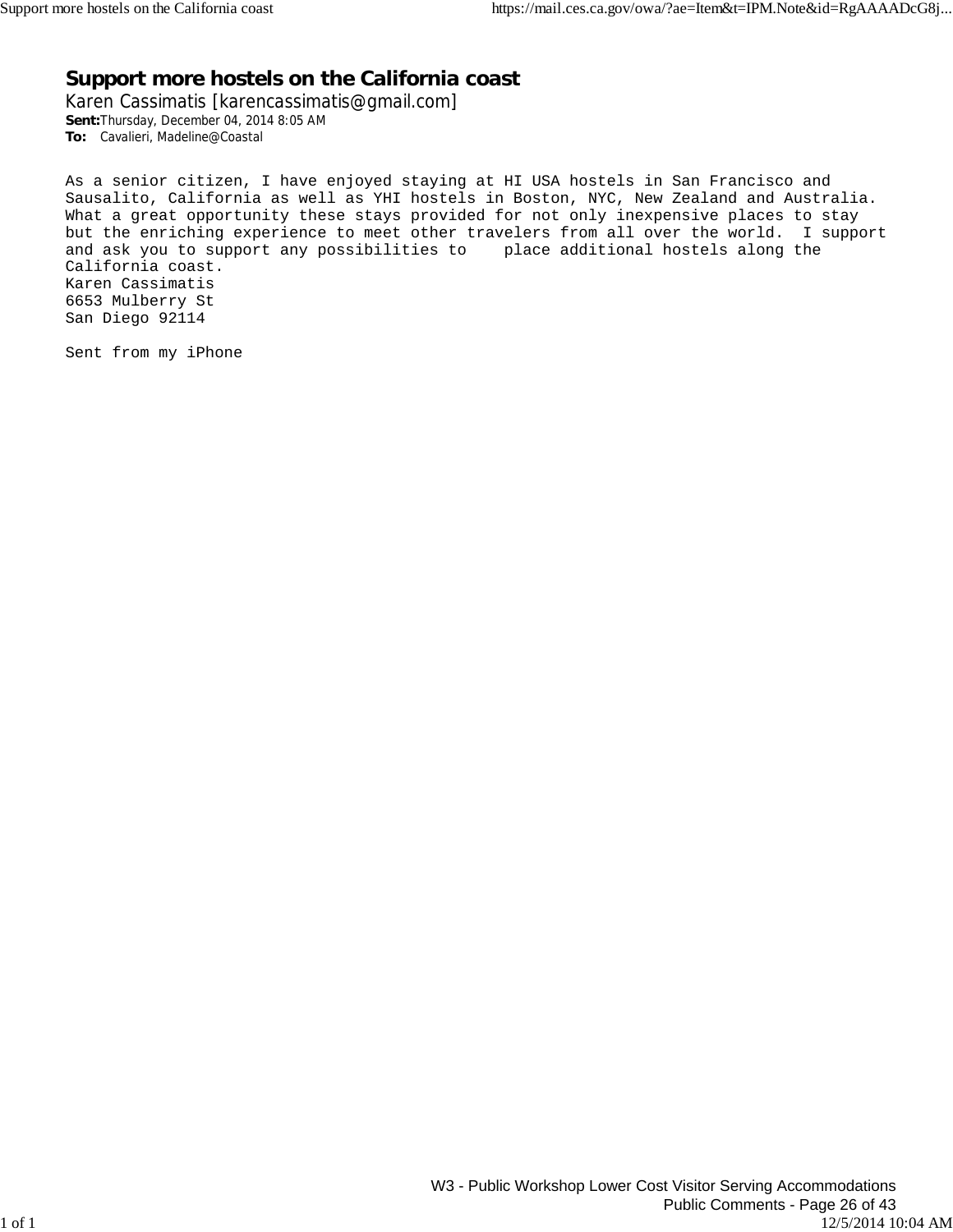## **Support more hostels on the California coast**

Karen Cassimatis [karencassimatis@gmail.com] **Sent:**Thursday, December 04, 2014 8:05 AM **To:** Cavalieri, Madeline@Coastal

As a senior citizen, I have enjoyed staying at HI USA hostels in San Francisco and Sausalito, California as well as YHI hostels in Boston, NYC, New Zealand and Australia. What a great opportunity these stays provided for not only inexpensive places to stay but the enriching experience to meet other travelers from all over the world. I support and ask you to support any possibilities to place additional hostels along the California coast. Karen Cassimatis 6653 Mulberry St San Diego 92114

Sent from my iPhone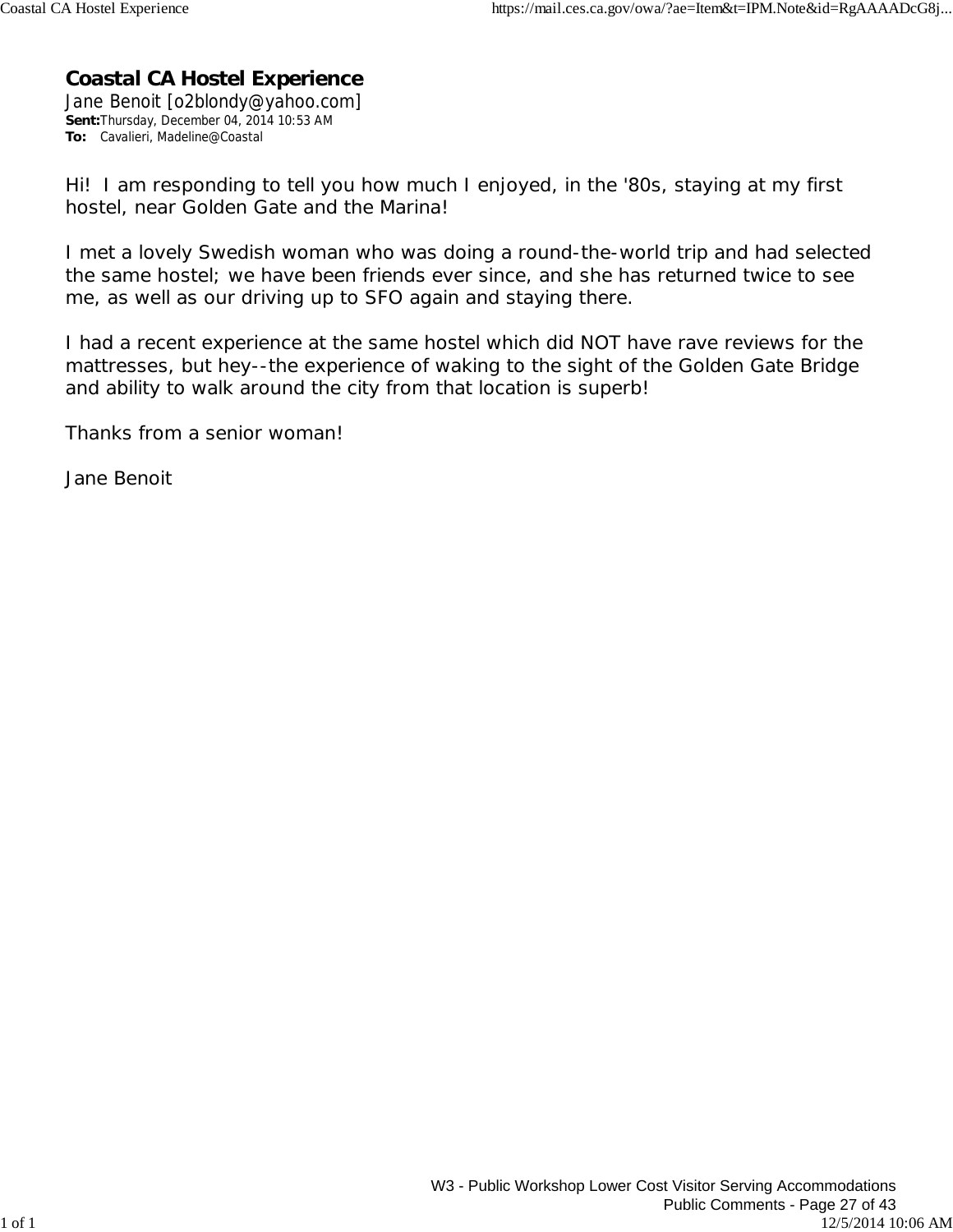## **Coastal CA Hostel Experience**

Jane Benoit [o2blondy@yahoo.com] **Sent:**Thursday, December 04, 2014 10:53 AM **To:** Cavalieri, Madeline@Coastal

Hi! I am responding to tell you how much I enjoyed, in the '80s, staying at my first hostel, near Golden Gate and the Marina!

I met a lovely Swedish woman who was doing a round-the-world trip and had selected the same hostel; we have been friends ever since, and she has returned twice to see me, as well as our driving up to SFO again and staying there.

I had a recent experience at the same hostel which did NOT have rave reviews for the mattresses, but hey--the experience of waking to the sight of the Golden Gate Bridge and ability to walk around the city from that location is superb!

Thanks from a senior woman!

Jane Benoit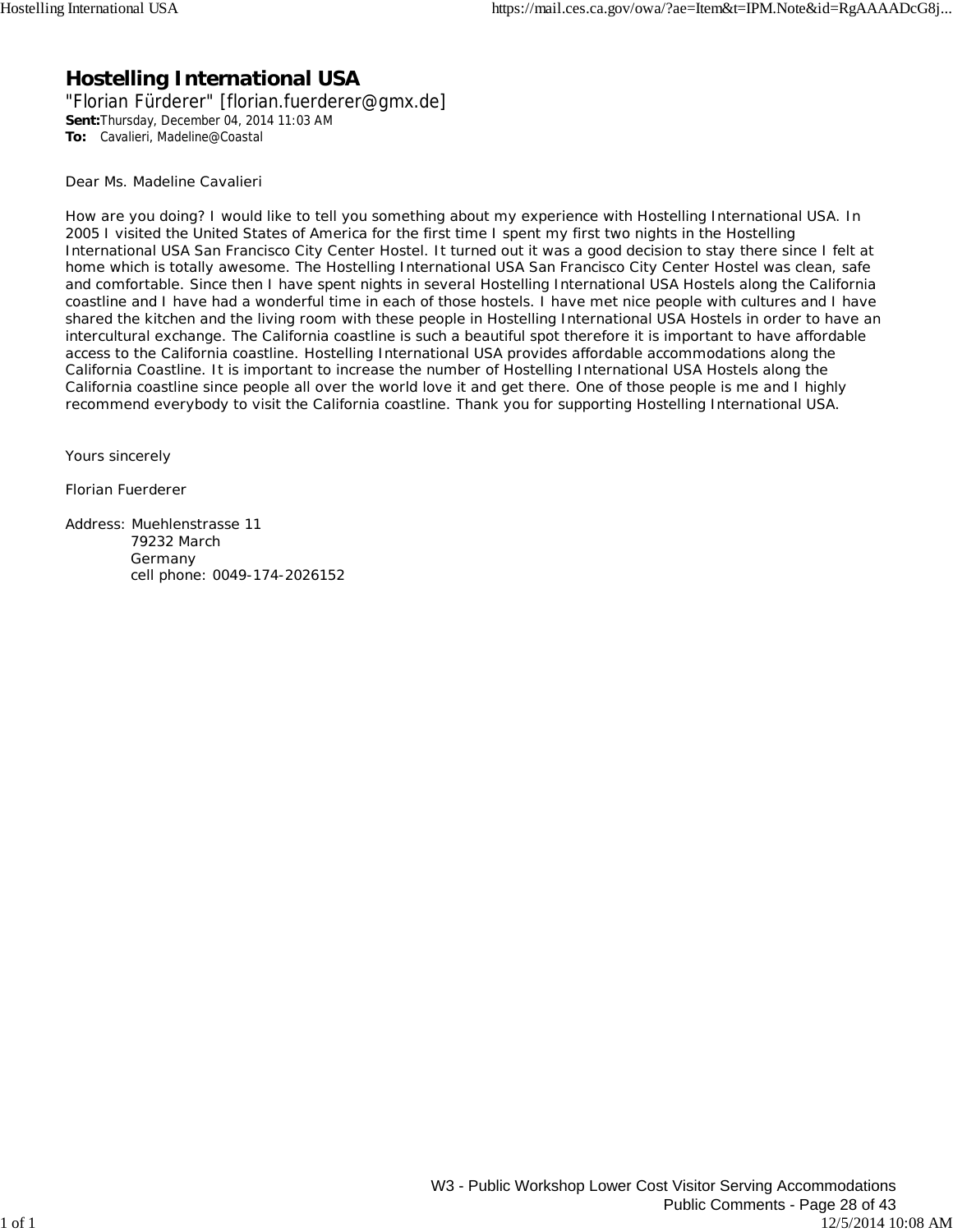## **Hostelling International USA**

"Florian Fürderer" [florian.fuerderer@gmx.de] **Sent:**Thursday, December 04, 2014 11:03 AM **To:** Cavalieri, Madeline@Coastal

Dear Ms. Madeline Cavalieri

How are you doing? I would like to tell you something about my experience with Hostelling International USA. In 2005 I visited the United States of America for the first time I spent my first two nights in the Hostelling International USA San Francisco City Center Hostel. It turned out it was a good decision to stay there since I felt at home which is totally awesome. The Hostelling International USA San Francisco City Center Hostel was clean, safe and comfortable. Since then I have spent nights in several Hostelling International USA Hostels along the California coastline and I have had a wonderful time in each of those hostels. I have met nice people with cultures and I have shared the kitchen and the living room with these people in Hostelling International USA Hostels in order to have an intercultural exchange. The California coastline is such a beautiful spot therefore it is important to have affordable access to the California coastline. Hostelling International USA provides affordable accommodations along the California Coastline. It is important to increase the number of Hostelling International USA Hostels along the California coastline since people all over the world love it and get there. One of those people is me and I highly recommend everybody to visit the California coastline. Thank you for supporting Hostelling International USA.

Yours sincerely

Florian Fuerderer

Address: Muehlenstrasse 11 79232 March Germany cell phone: 0049-174-2026152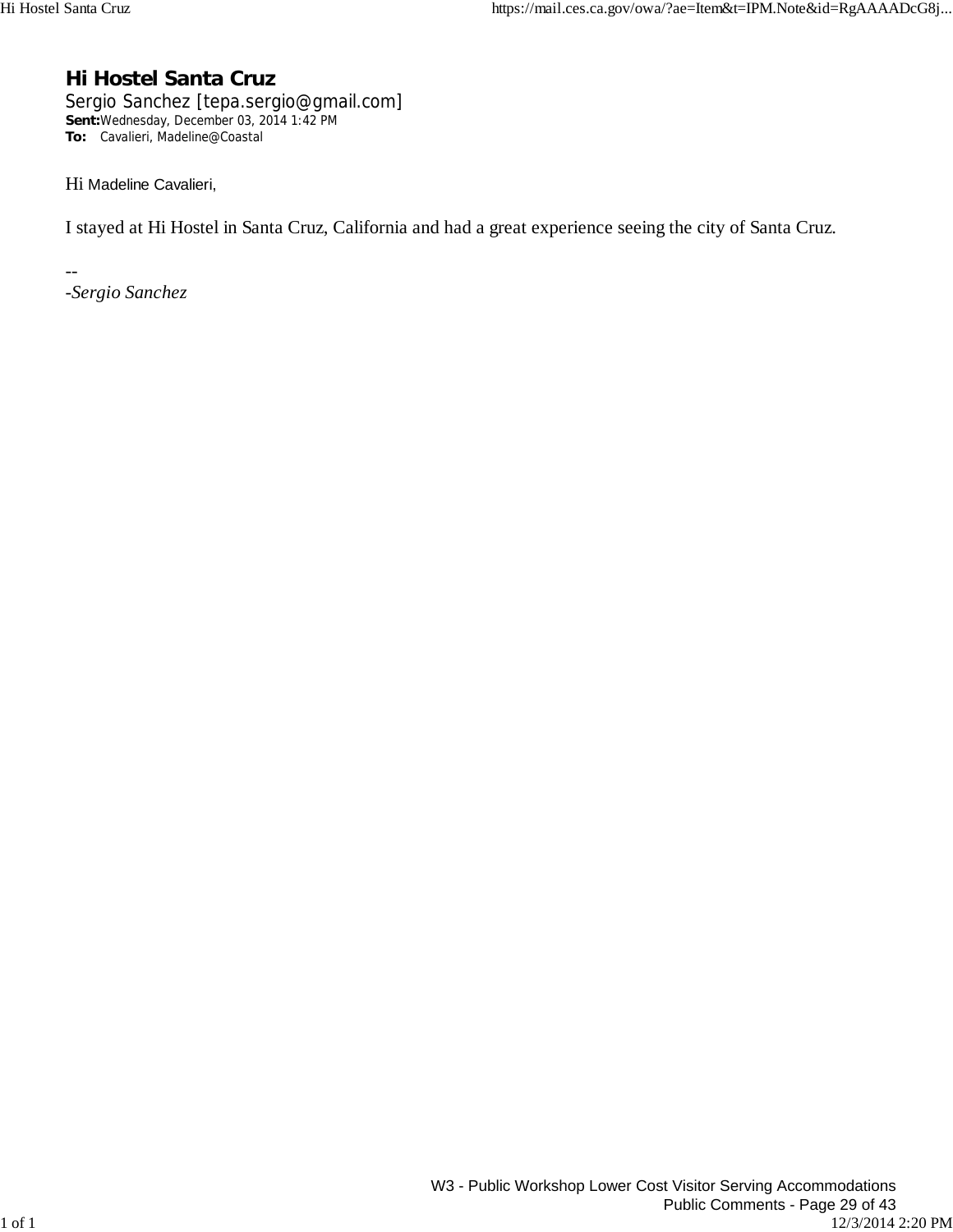## **Hi Hostel Santa Cruz**

Sergio Sanchez [tepa.sergio@gmail.com] **Sent:**Wednesday, December 03, 2014 1:42 PM **To:** Cavalieri, Madeline@Coastal

Hi Madeline Cavalieri,

I stayed at Hi Hostel in Santa Cruz, California and had a great experience seeing the city of Santa Cruz.

*-Sergio Sanchez*

--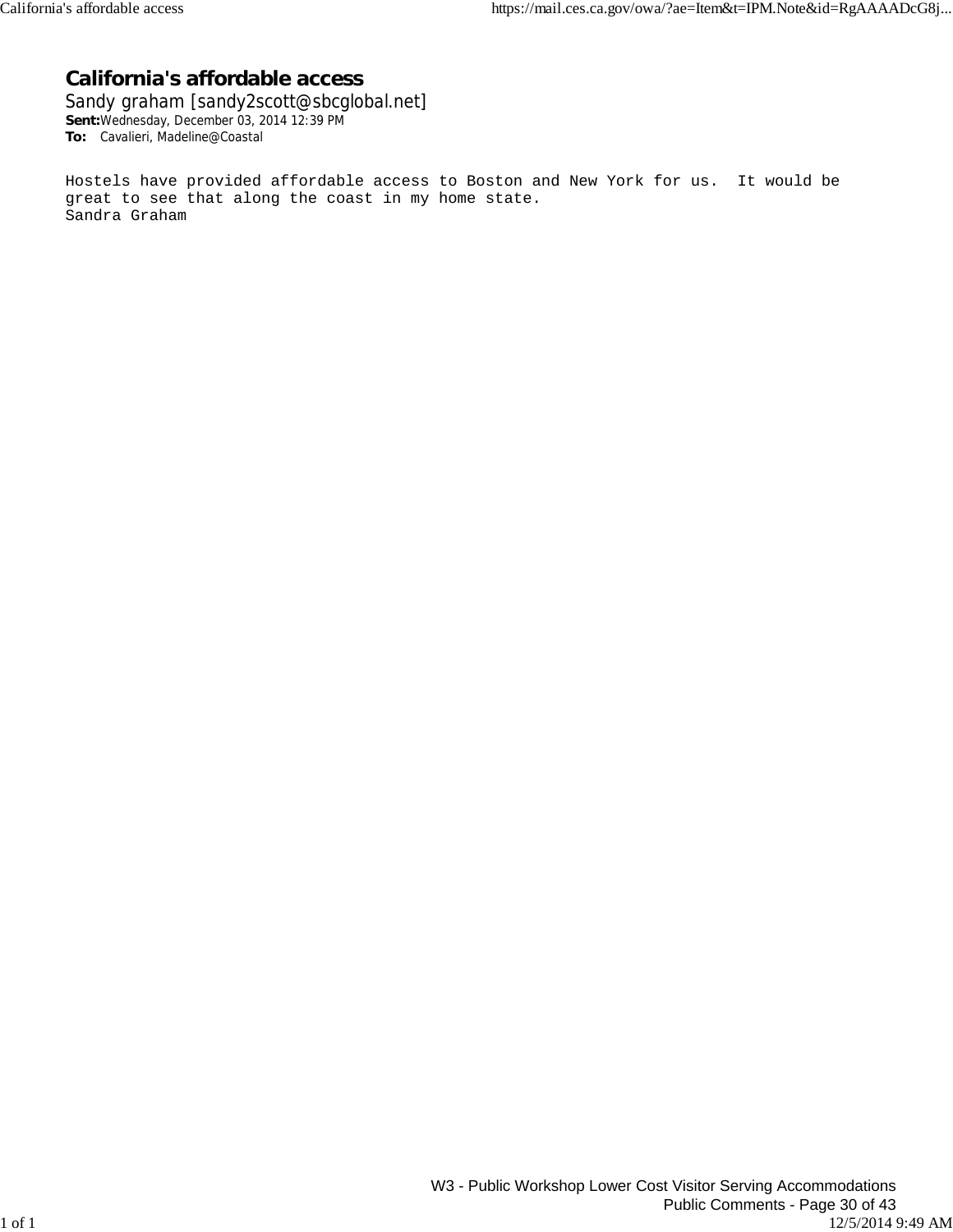### **California's affordable access**

Sandy graham [sandy2scott@sbcglobal.net] **Sent:**Wednesday, December 03, 2014 12:39 PM **To:** Cavalieri, Madeline@Coastal

Hostels have provided affordable access to Boston and New York for us. It would be great to see that along the coast in my home state. Sandra Graham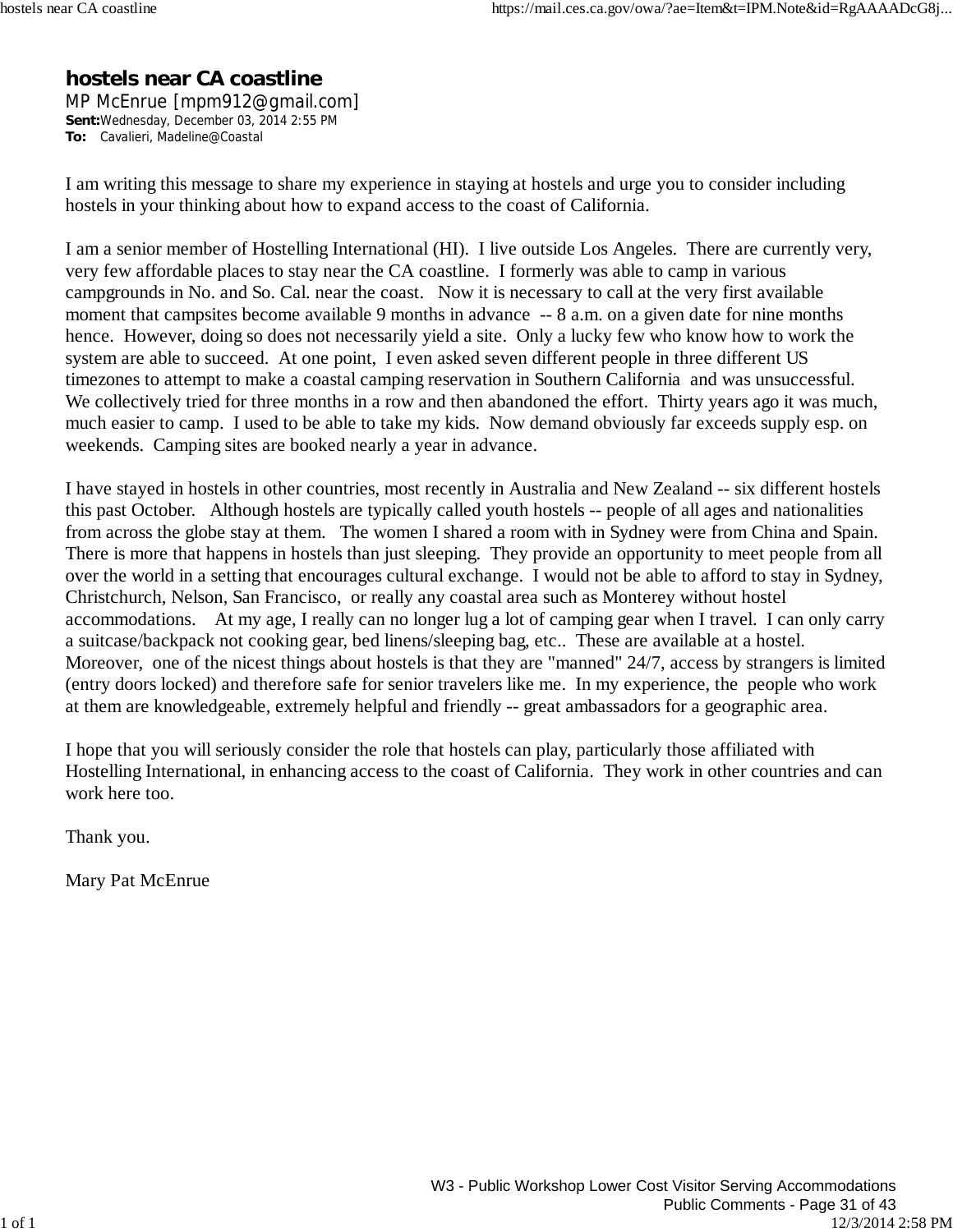### **hostels near CA coastline**

MP McEnrue [mpm912@gmail.com] **Sent:**Wednesday, December 03, 2014 2:55 PM **To:** Cavalieri, Madeline@Coastal

I am writing this message to share my experience in staying at hostels and urge you to consider including hostels in your thinking about how to expand access to the coast of California.

I am a senior member of Hostelling International (HI). I live outside Los Angeles. There are currently very, very few affordable places to stay near the CA coastline. I formerly was able to camp in various campgrounds in No. and So. Cal. near the coast. Now it is necessary to call at the very first available moment that campsites become available 9 months in advance -- 8 a.m. on a given date for nine months hence. However, doing so does not necessarily yield a site. Only a lucky few who know how to work the system are able to succeed. At one point, I even asked seven different people in three different US timezones to attempt to make a coastal camping reservation in Southern California and was unsuccessful. We collectively tried for three months in a row and then abandoned the effort. Thirty years ago it was much, much easier to camp. I used to be able to take my kids. Now demand obviously far exceeds supply esp. on weekends. Camping sites are booked nearly a year in advance.

I have stayed in hostels in other countries, most recently in Australia and New Zealand -- six different hostels this past October. Although hostels are typically called youth hostels -- people of all ages and nationalities from across the globe stay at them. The women I shared a room with in Sydney were from China and Spain. There is more that happens in hostels than just sleeping. They provide an opportunity to meet people from all over the world in a setting that encourages cultural exchange. I would not be able to afford to stay in Sydney, Christchurch, Nelson, San Francisco, or really any coastal area such as Monterey without hostel accommodations. At my age, I really can no longer lug a lot of camping gear when I travel. I can only carry a suitcase/backpack not cooking gear, bed linens/sleeping bag, etc.. These are available at a hostel. Moreover, one of the nicest things about hostels is that they are "manned" 24/7, access by strangers is limited (entry doors locked) and therefore safe for senior travelers like me. In my experience, the people who work at them are knowledgeable, extremely helpful and friendly -- great ambassadors for a geographic area.

I hope that you will seriously consider the role that hostels can play, particularly those affiliated with Hostelling International, in enhancing access to the coast of California. They work in other countries and can work here too.

Thank you.

Mary Pat McEnrue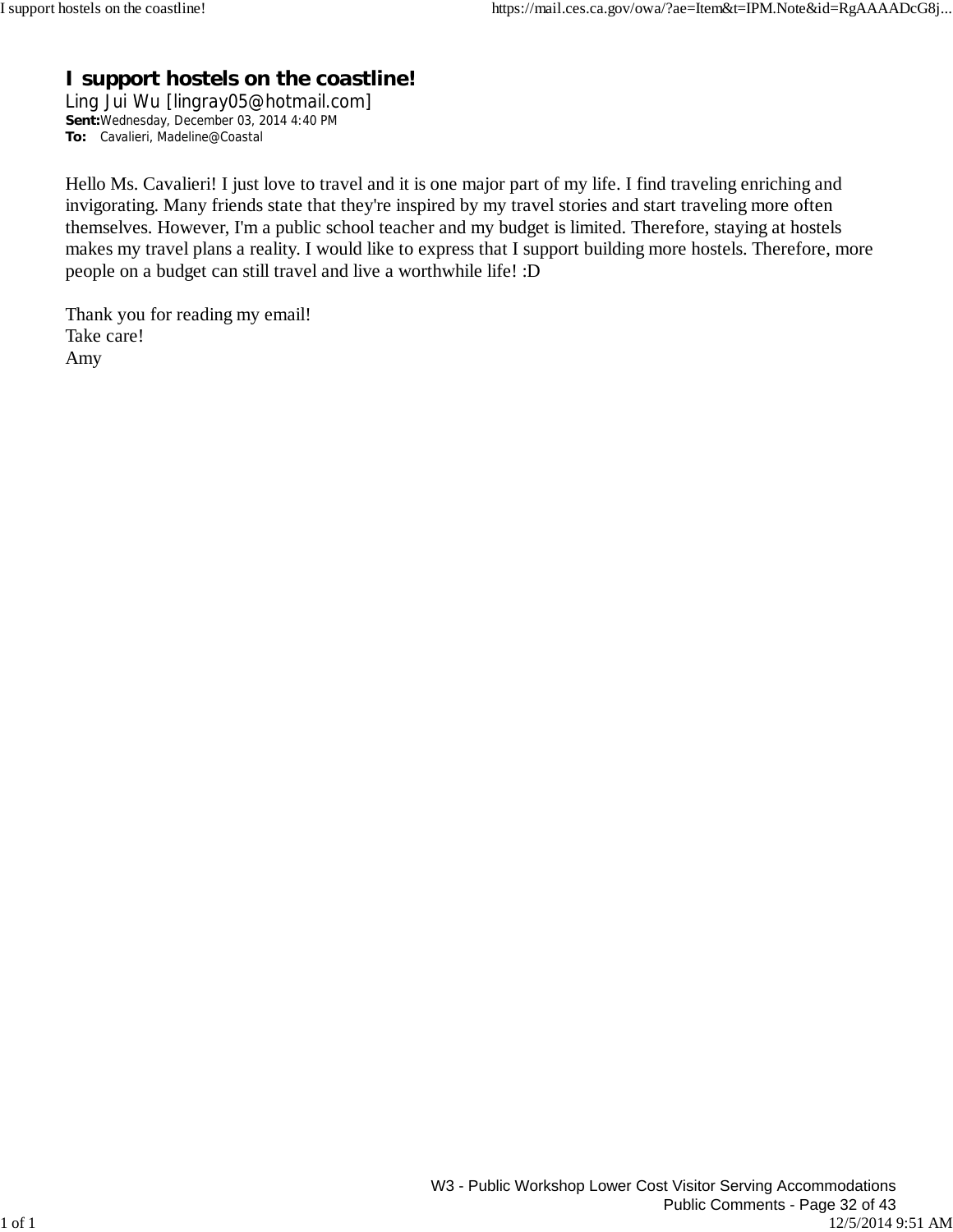## **I support hostels on the coastline!**

Ling Jui Wu [lingray05@hotmail.com] **Sent:**Wednesday, December 03, 2014 4:40 PM **To:** Cavalieri, Madeline@Coastal

Hello Ms. Cavalieri! I just love to travel and it is one major part of my life. I find traveling enriching and invigorating. Many friends state that they're inspired by my travel stories and start traveling more often themselves. However, I'm a public school teacher and my budget is limited. Therefore, staying at hostels makes my travel plans a reality. I would like to express that I support building more hostels. Therefore, more people on a budget can still travel and live a worthwhile life! :D

Thank you for reading my email! Take care! Amy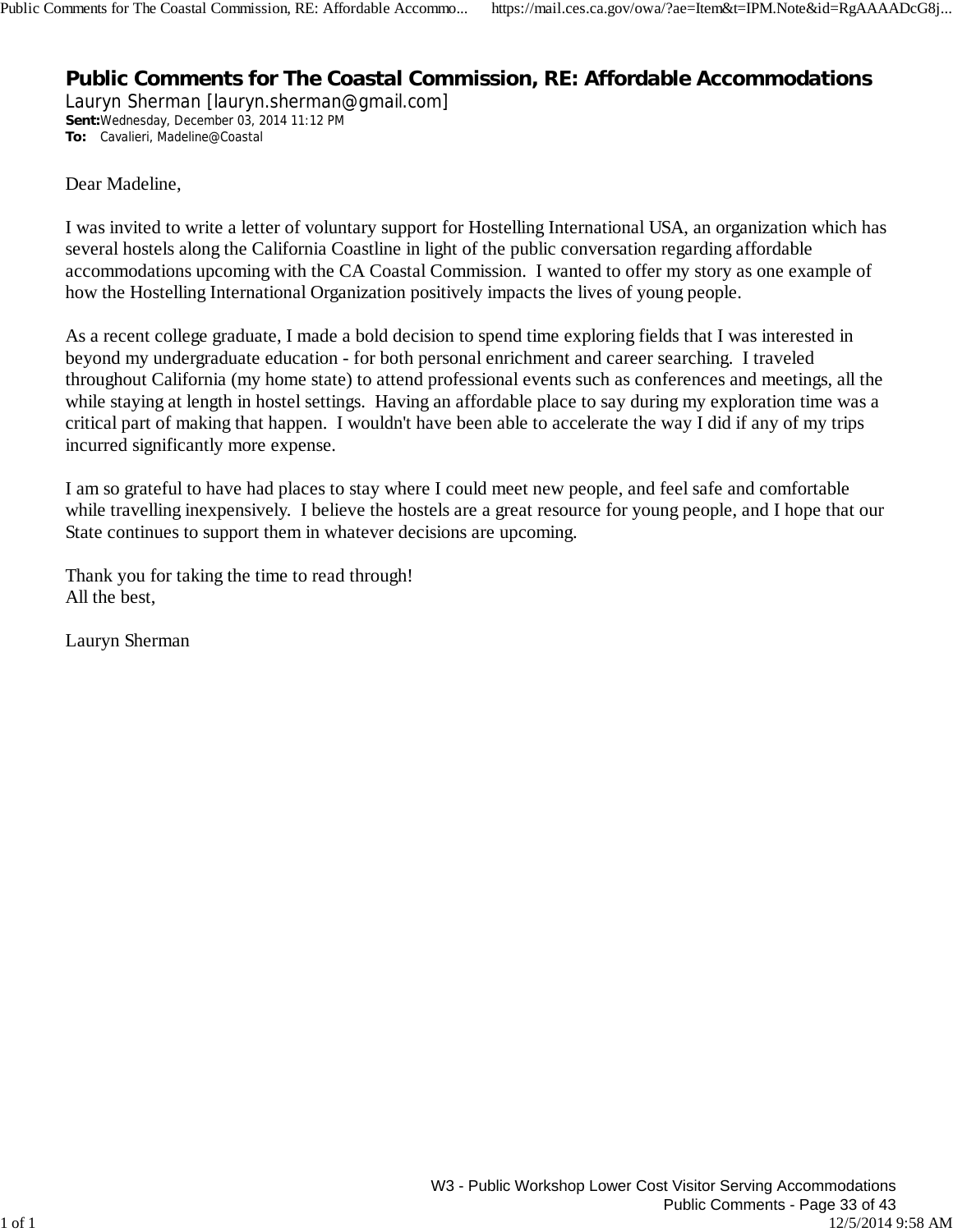## **Public Comments for The Coastal Commission, RE: Affordable Accommodations**

Lauryn Sherman [lauryn.sherman@gmail.com] **Sent:**Wednesday, December 03, 2014 11:12 PM **To:** Cavalieri, Madeline@Coastal

Dear Madeline,

I was invited to write a letter of voluntary support for Hostelling International USA, an organization which has several hostels along the California Coastline in light of the public conversation regarding affordable accommodations upcoming with the CA Coastal Commission. I wanted to offer my story as one example of how the Hostelling International Organization positively impacts the lives of young people.

As a recent college graduate, I made a bold decision to spend time exploring fields that I was interested in beyond my undergraduate education - for both personal enrichment and career searching. I traveled throughout California (my home state) to attend professional events such as conferences and meetings, all the while staying at length in hostel settings. Having an affordable place to say during my exploration time was a critical part of making that happen. I wouldn't have been able to accelerate the way I did if any of my trips incurred significantly more expense.

I am so grateful to have had places to stay where I could meet new people, and feel safe and comfortable while travelling inexpensively. I believe the hostels are a great resource for young people, and I hope that our State continues to support them in whatever decisions are upcoming.

Thank you for taking the time to read through! All the best,

Lauryn Sherman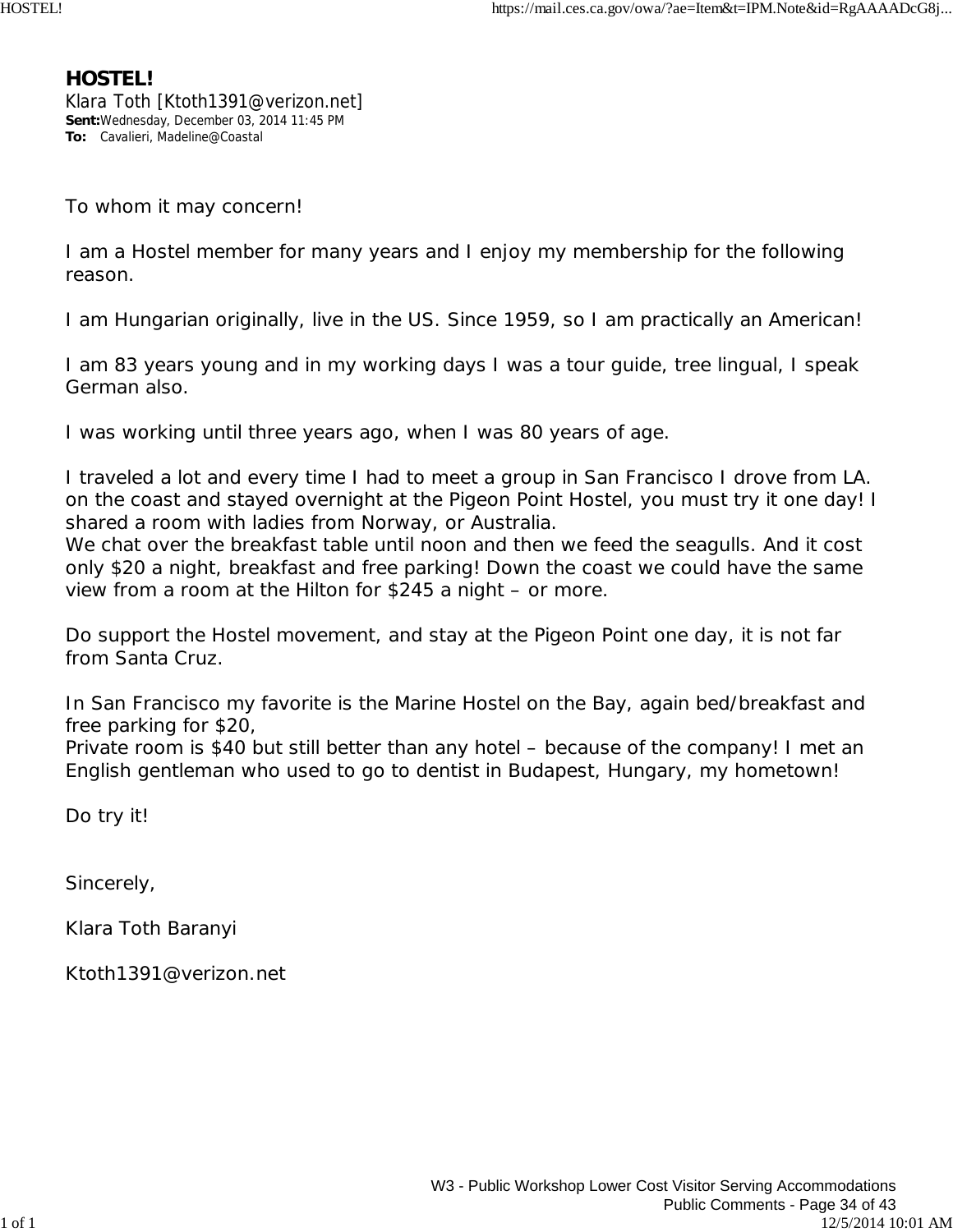### **HOSTEL!**

Klara Toth [Ktoth1391@verizon.net] **Sent:**Wednesday, December 03, 2014 11:45 PM **To:** Cavalieri, Madeline@Coastal

To whom it may concern!

I am a Hostel member for many years and I enjoy my membership for the following reason.

I am Hungarian originally, live in the US. Since 1959, so I am practically an American!

I am 83 years young and in my working days I was a tour guide, tree lingual, I speak German also.

I was working until three years ago, when I was 80 years of age.

I traveled a lot and every time I had to meet a group in San Francisco I drove from LA. on the coast and stayed overnight at the Pigeon Point Hostel, you must try it one day! I shared a room with ladies from Norway, or Australia.

We chat over the breakfast table until noon and then we feed the seagulls. And it cost only \$20 a night, breakfast and free parking! Down the coast we could have the same view from a room at the Hilton for \$245 a night – or more.

Do support the Hostel movement, and stay at the Pigeon Point one day, it is not far from Santa Cruz.

In San Francisco my favorite is the Marine Hostel on the Bay, again bed/breakfast and free parking for \$20,

Private room is \$40 but still better than any hotel – because of the company! I met an English gentleman who used to go to dentist in Budapest, Hungary, my hometown!

Do try it!

Sincerely,

Klara Toth Baranyi

Ktoth1391@verizon.net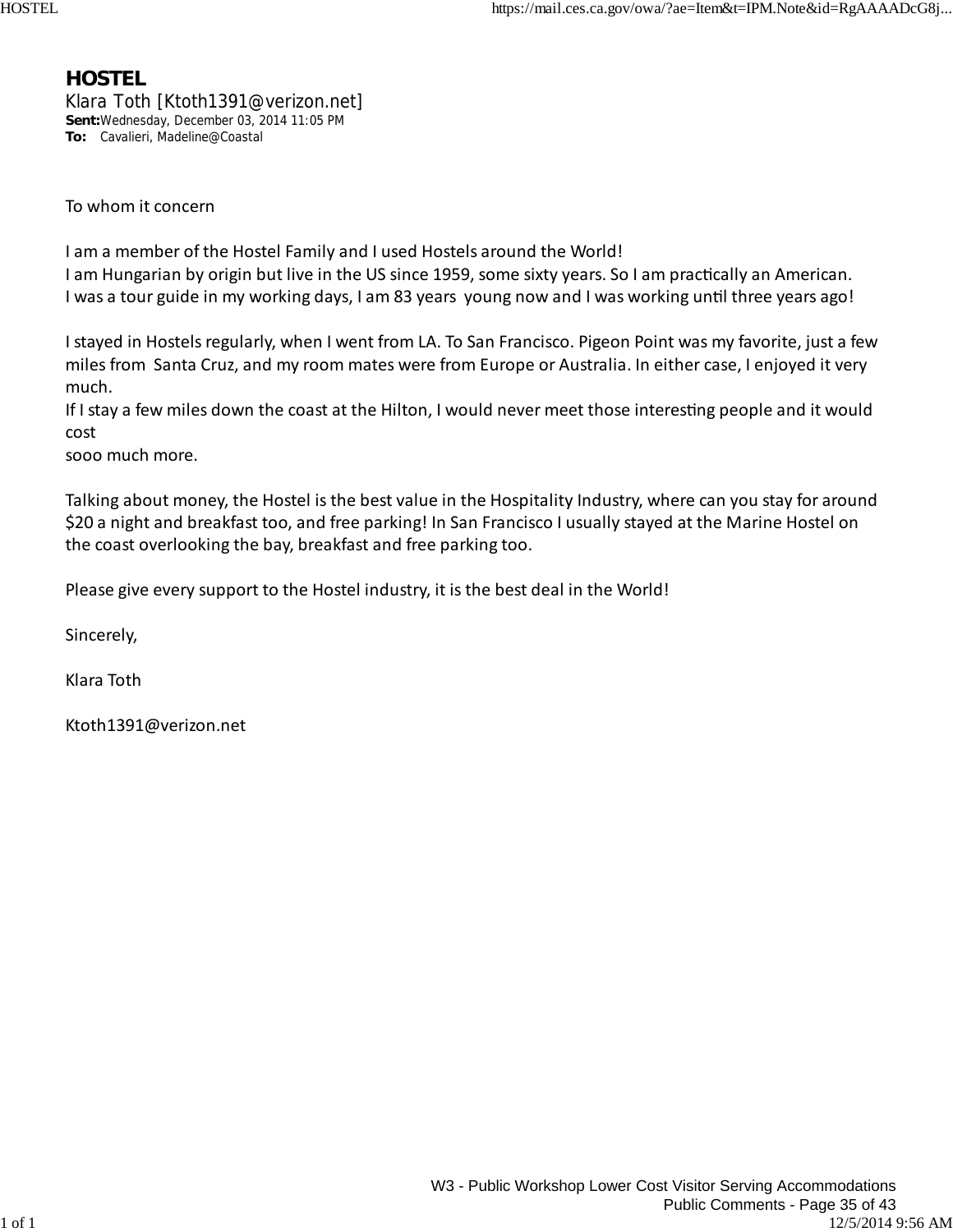### **HOSTEL**

Klara Toth [Ktoth1391@verizon.net] **Sent:**Wednesday, December 03, 2014 11:05 PM **To:** Cavalieri, Madeline@Coastal

To whom it concern

I am a member of the Hostel Family and I used Hostels around the World! I am Hungarian by origin but live in the US since 1959, some sixty years. So I am practically an American. I was a tour guide in my working days, I am 83 years young now and I was working until three years ago!

I stayed in Hostels regularly, when I went from LA. To San Francisco. Pigeon Point was my favorite, just a few milesfrom Santa Cruz, and my room mates were from Europe or Australia. In either case, I enjoyed it very much.

If I stay a few miles down the coast at the Hilton, I would never meet those interesting people and it would cost

sooo much more.

Talking about money, the Hostel is the best value in the Hospitality Industry, where can you stay for around \$20 a night and breakfast too, and free parking! In San Francisco I usually stayed at the Marine Hostel on the coast overlooking the bay, breakfast and free parking too.

Please give every support to the Hostel industry, it isthe best deal in the World!

Sincerely,

Klara Toth

Ktoth1391@verizon.net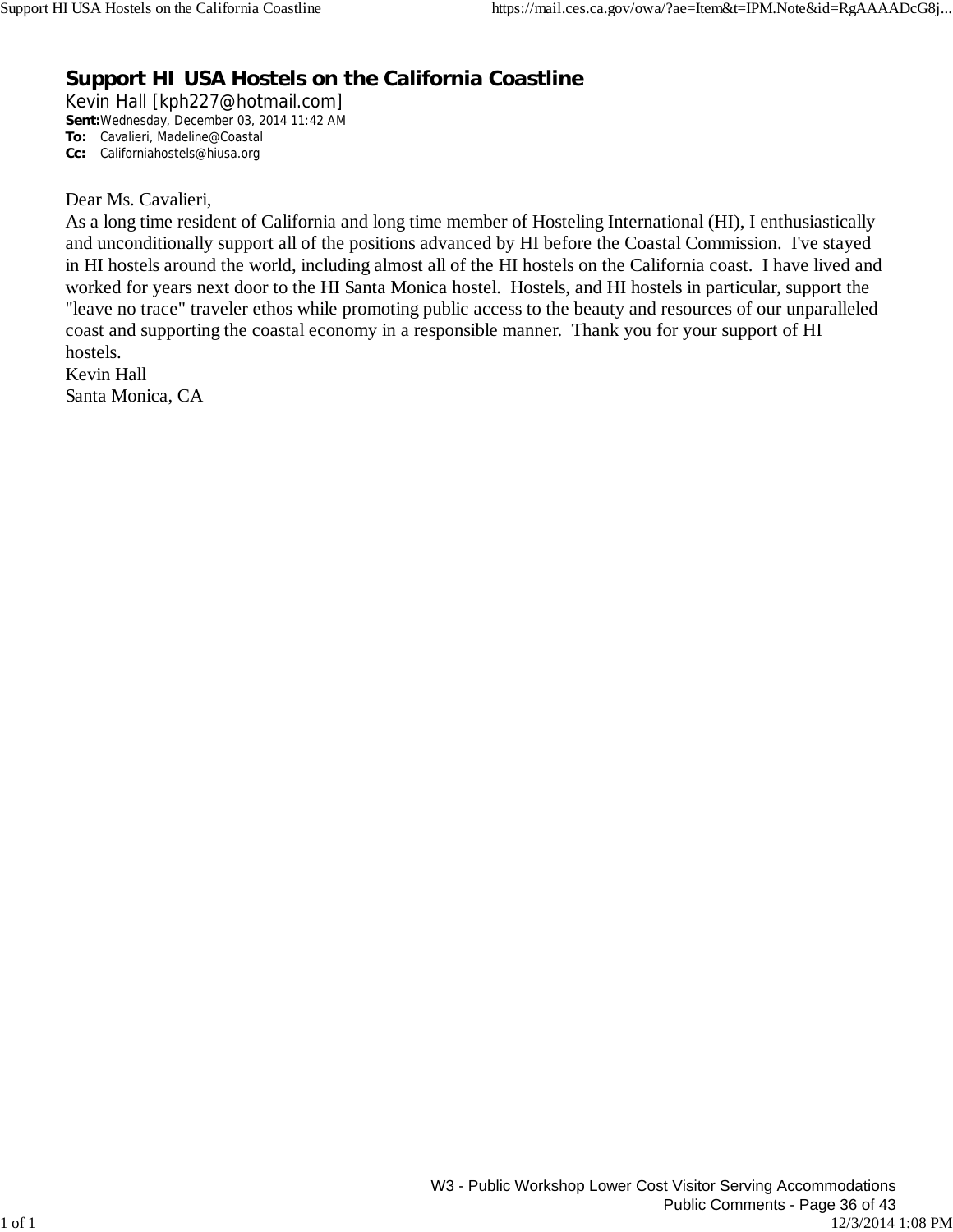## **Support HI USA Hostels on the California Coastline**

Kevin Hall [kph227@hotmail.com] **Sent:**Wednesday, December 03, 2014 11:42 AM **To:** Cavalieri, Madeline@Coastal **Cc:** Californiahostels@hiusa.org

#### Dear Ms. Cavalieri,

As a long time resident of California and long time member of Hosteling International (HI), I enthusiastically and unconditionally support all of the positions advanced by HI before the Coastal Commission. I've stayed in HI hostels around the world, including almost all of the HI hostels on the California coast. I have lived and worked for years next door to the HI Santa Monica hostel. Hostels, and HI hostels in particular, support the "leave no trace" traveler ethos while promoting public access to the beauty and resources of our unparalleled coast and supporting the coastal economy in a responsible manner. Thank you for your support of HI hostels.

Kevin Hall Santa Monica, CA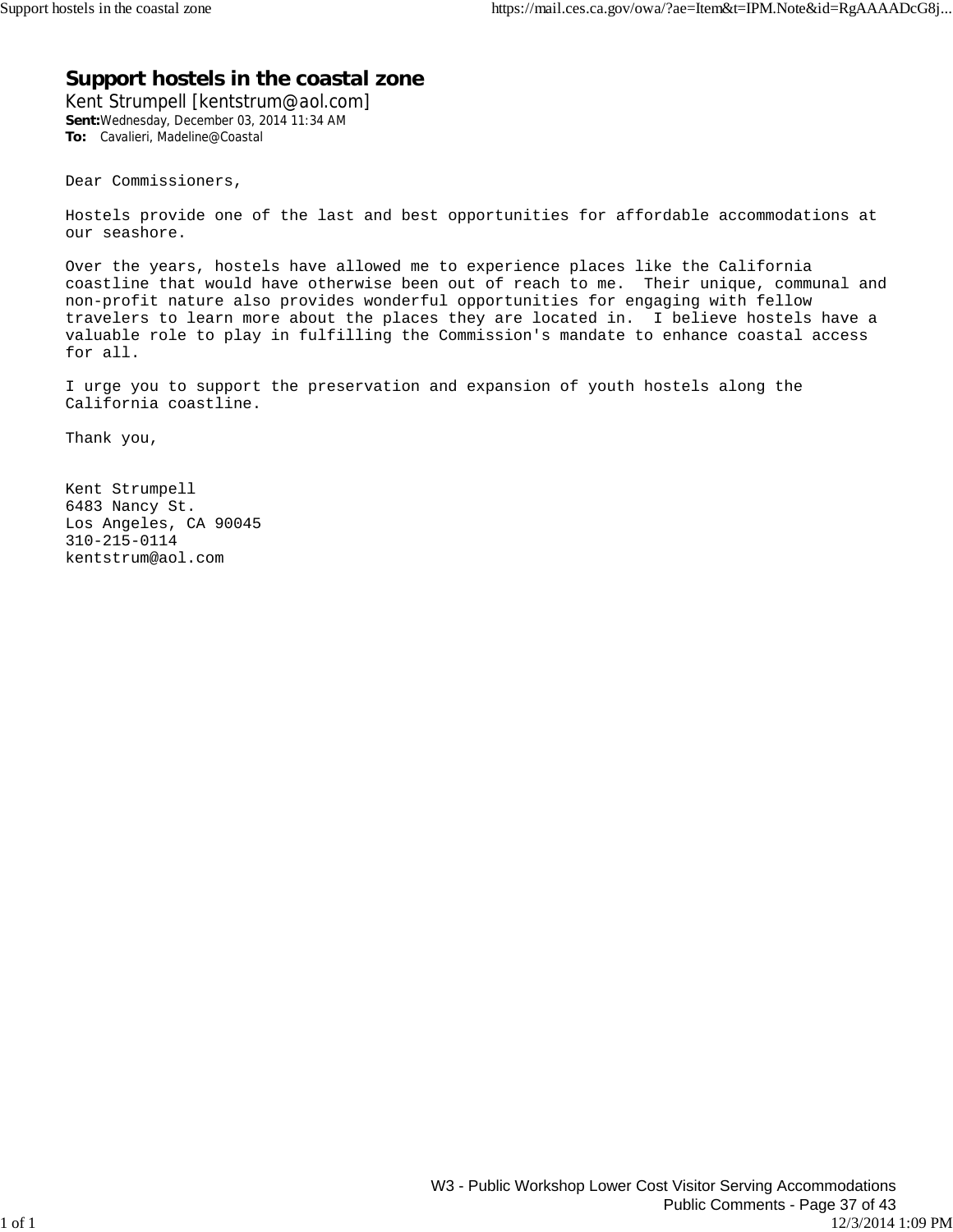#### **Support hostels in the coastal zone**

Kent Strumpell [kentstrum@aol.com] **Sent:**Wednesday, December 03, 2014 11:34 AM **To:** Cavalieri, Madeline@Coastal

Dear Commissioners,

Hostels provide one of the last and best opportunities for affordable accommodations at our seashore.

Over the years, hostels have allowed me to experience places like the California coastline that would have otherwise been out of reach to me. Their unique, communal and non-profit nature also provides wonderful opportunities for engaging with fellow travelers to learn more about the places they are located in. I believe hostels have a valuable role to play in fulfilling the Commission's mandate to enhance coastal access for all.

I urge you to support the preservation and expansion of youth hostels along the California coastline.

Thank you,

Kent Strumpell 6483 Nancy St. Los Angeles, CA 90045 310-215-0114 kentstrum@aol.com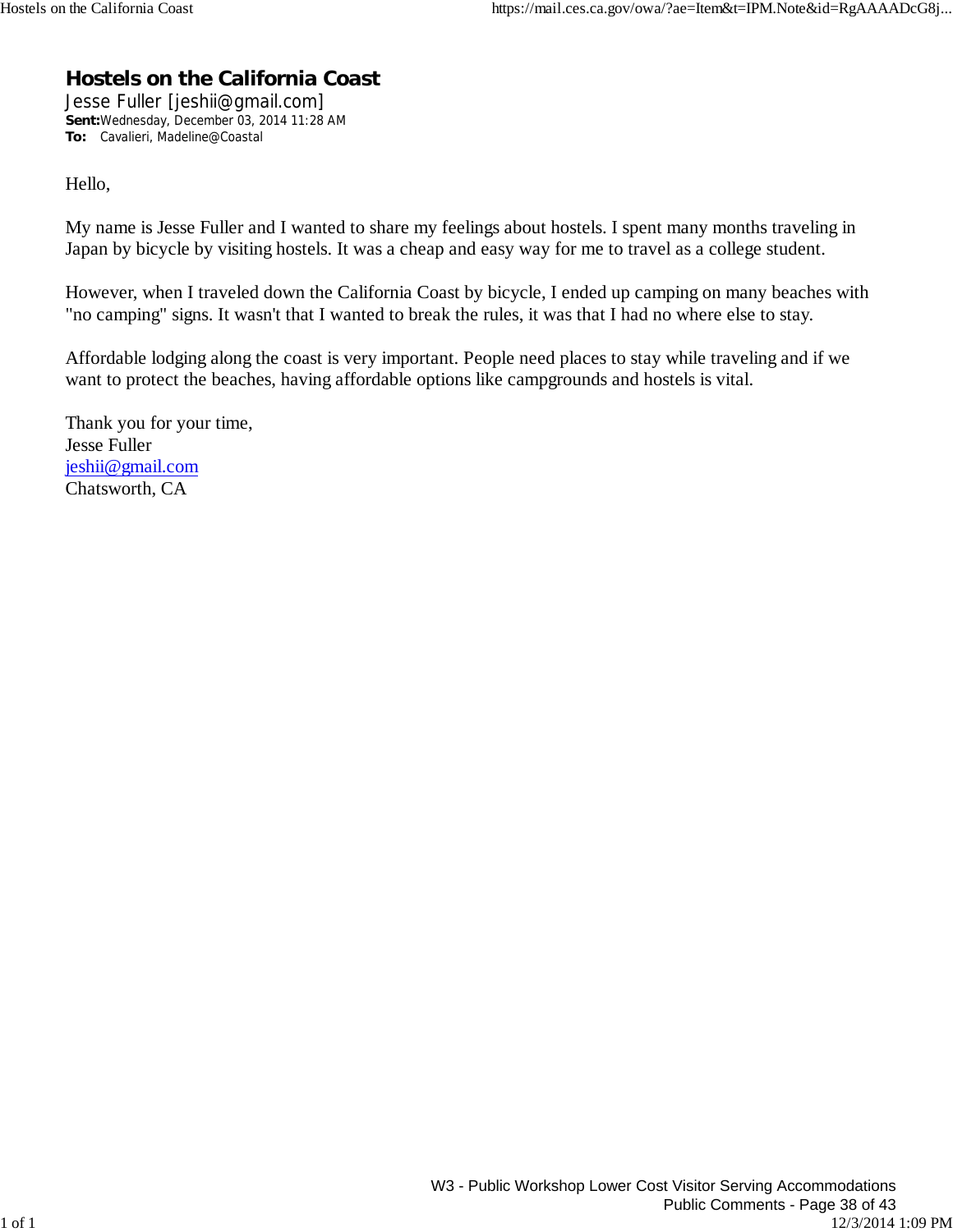## **Hostels on the California Coast**

Jesse Fuller [jeshii@gmail.com] **Sent:**Wednesday, December 03, 2014 11:28 AM **To:** Cavalieri, Madeline@Coastal

Hello,

My name is Jesse Fuller and I wanted to share my feelings about hostels. I spent many months traveling in Japan by bicycle by visiting hostels. It was a cheap and easy way for me to travel as a college student.

However, when I traveled down the California Coast by bicycle, I ended up camping on many beaches with "no camping" signs. It wasn't that I wanted to break the rules, it was that I had no where else to stay.

Affordable lodging along the coast is very important. People need places to stay while traveling and if we want to protect the beaches, having affordable options like campgrounds and hostels is vital.

Thank you for your time, Jesse Fuller jeshii@gmail.com Chatsworth, CA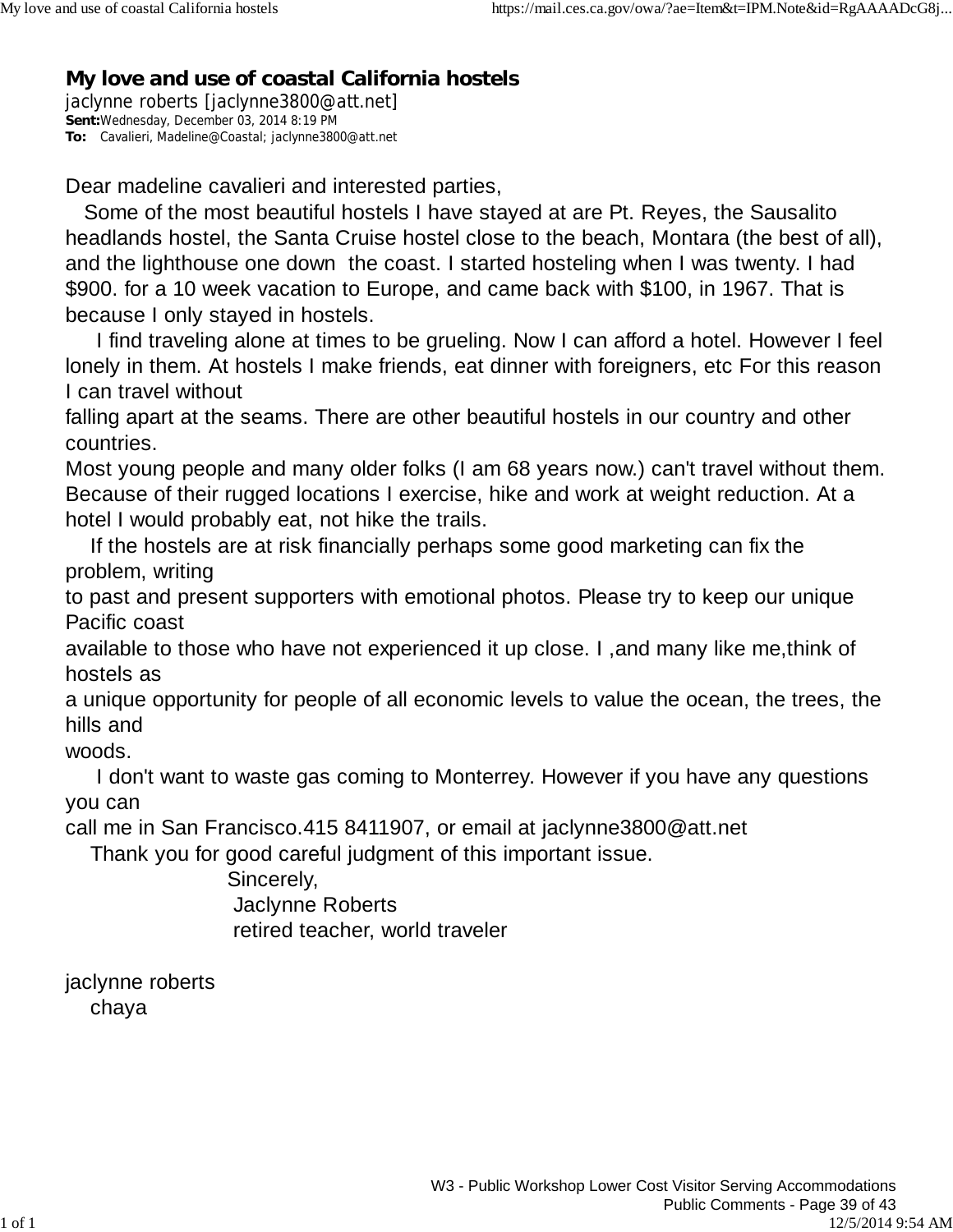## **My love and use of coastal California hostels**

jaclynne roberts [jaclynne3800@att.net] **Sent:**Wednesday, December 03, 2014 8:19 PM **To:** Cavalieri, Madeline@Coastal; jaclynne3800@att.net

Dear madeline cavalieri and interested parties,

 Some of the most beautiful hostels I have stayed at are Pt. Reyes, the Sausalito headlands hostel, the Santa Cruise hostel close to the beach, Montara (the best of all), and the lighthouse one down the coast. I started hosteling when I was twenty. I had \$900. for a 10 week vacation to Europe, and came back with \$100, in 1967. That is because I only stayed in hostels.

 I find traveling alone at times to be grueling. Now I can afford a hotel. However I feel lonely in them. At hostels I make friends, eat dinner with foreigners, etc For this reason I can travel without

falling apart at the seams. There are other beautiful hostels in our country and other countries.

Most young people and many older folks (I am 68 years now.) can't travel without them. Because of their rugged locations I exercise, hike and work at weight reduction. At a hotel I would probably eat, not hike the trails.

 If the hostels are at risk financially perhaps some good marketing can fix the problem, writing

to past and present supporters with emotional photos. Please try to keep our unique Pacific coast

available to those who have not experienced it up close. I ,and many like me,think of hostels as

a unique opportunity for people of all economic levels to value the ocean, the trees, the hills and

woods.

 I don't want to waste gas coming to Monterrey. However if you have any questions you can

call me in San Francisco.415 8411907, or email at jaclynne3800@att.net

Thank you for good careful judgment of this important issue.

 Sincerely, Jaclynne Roberts retired teacher, world traveler

jaclynne roberts chaya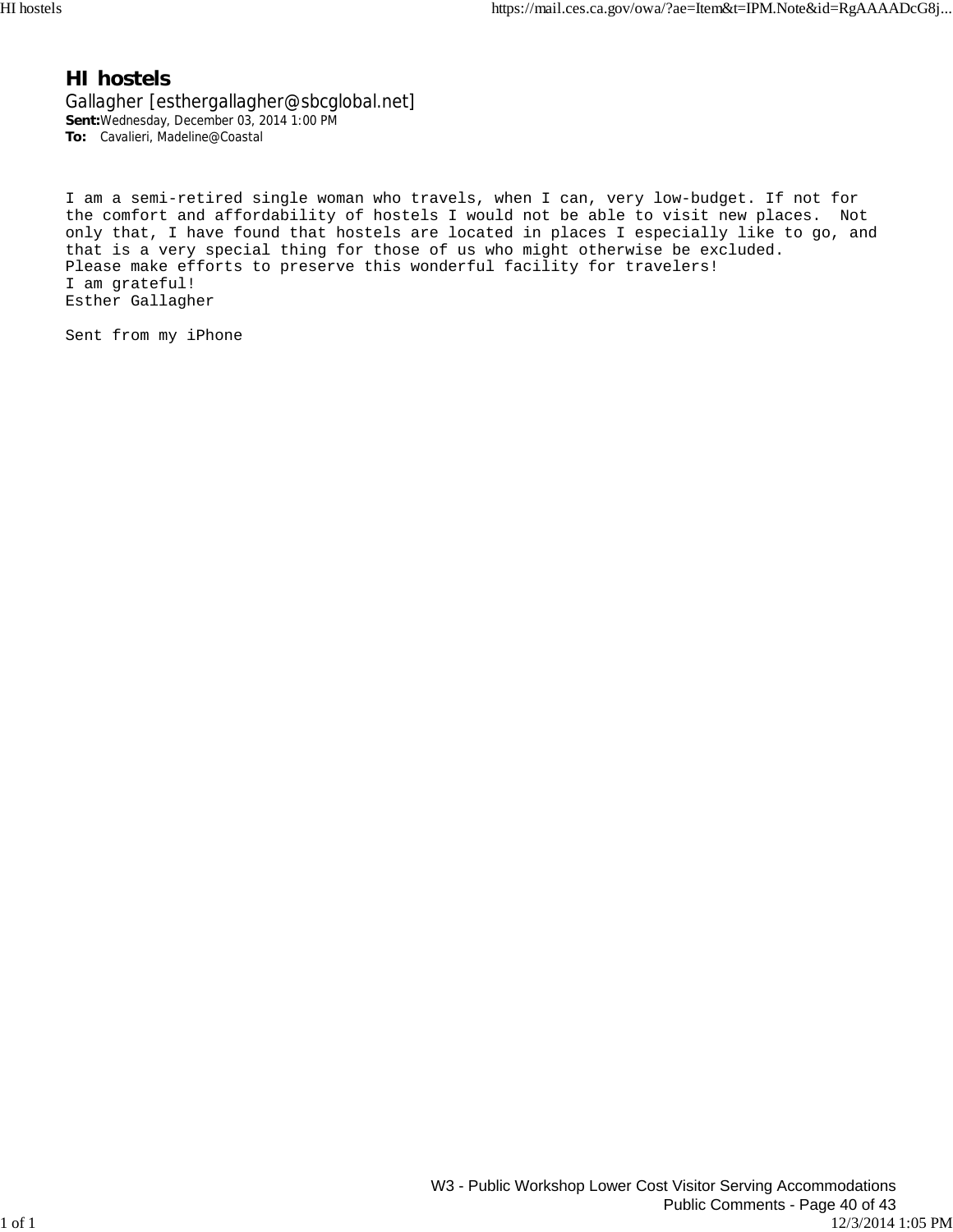#### **HI hostels**

Gallagher [esthergallagher@sbcglobal.net] **Sent:**Wednesday, December 03, 2014 1:00 PM **To:** Cavalieri, Madeline@Coastal

I am a semi-retired single woman who travels, when I can, very low-budget. If not for the comfort and affordability of hostels I would not be able to visit new places. Not only that, I have found that hostels are located in places I especially like to go, and that is a very special thing for those of us who might otherwise be excluded. Please make efforts to preserve this wonderful facility for travelers! I am grateful! Esther Gallagher

Sent from my iPhone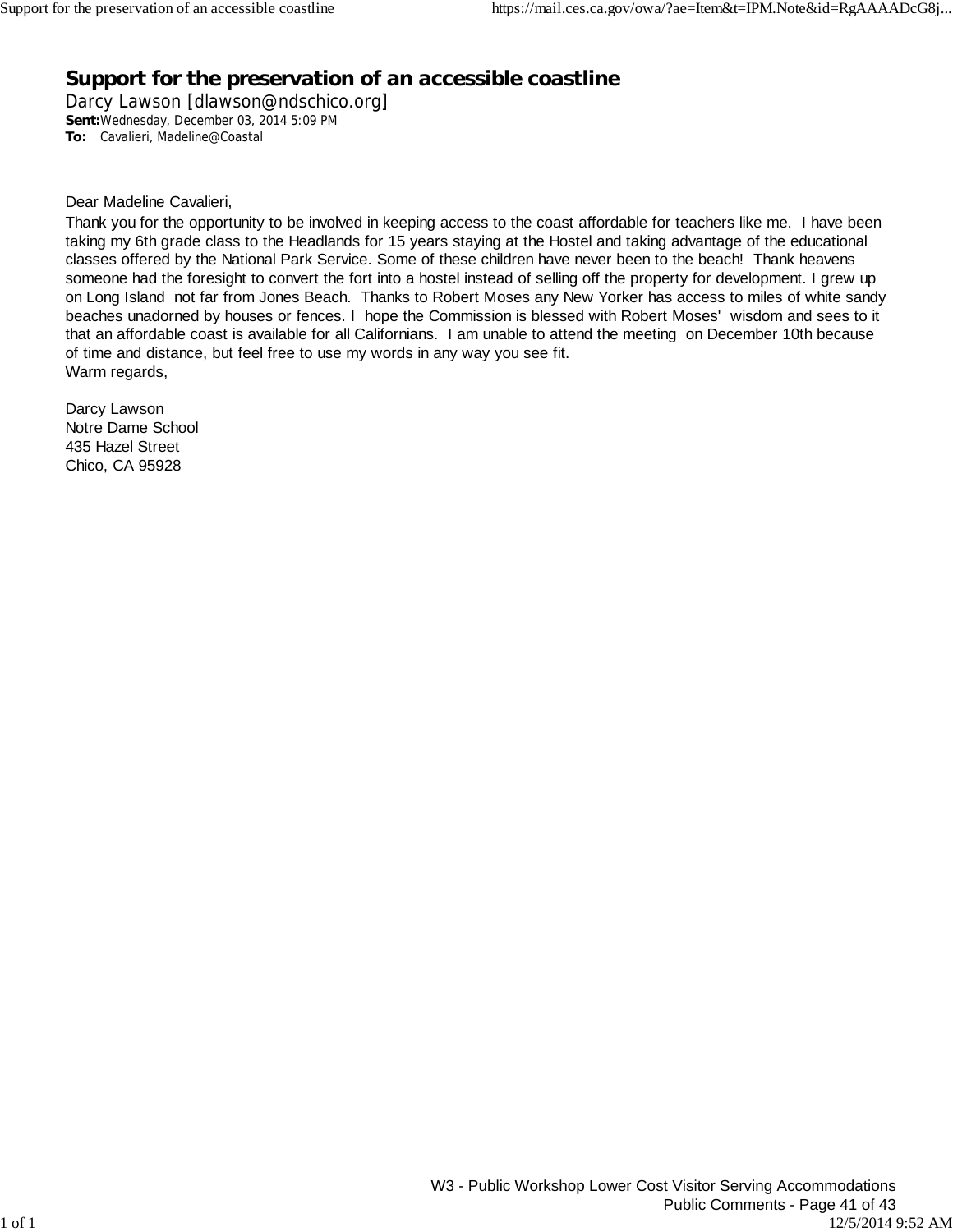## **Support for the preservation of an accessible coastline**

Darcy Lawson [dlawson@ndschico.org] **Sent:**Wednesday, December 03, 2014 5:09 PM **To:** Cavalieri, Madeline@Coastal

Dear Madeline Cavalieri,

Thank you for the opportunity to be involved in keeping access to the coast affordable for teachers like me. I have been taking my 6th grade class to the Headlands for 15 years staying at the Hostel and taking advantage of the educational classes offered by the National Park Service. Some of these children have never been to the beach! Thank heavens someone had the foresight to convert the fort into a hostel instead of selling off the property for development. I grew up on Long Island not far from Jones Beach. Thanks to Robert Moses any New Yorker has access to miles of white sandy beaches unadorned by houses or fences. I hope the Commission is blessed with Robert Moses' wisdom and sees to it that an affordable coast is available for all Californians. I am unable to attend the meeting on December 10th because of time and distance, but feel free to use my words in any way you see fit. Warm regards,

Darcy Lawson Notre Dame School 435 Hazel Street Chico, CA 95928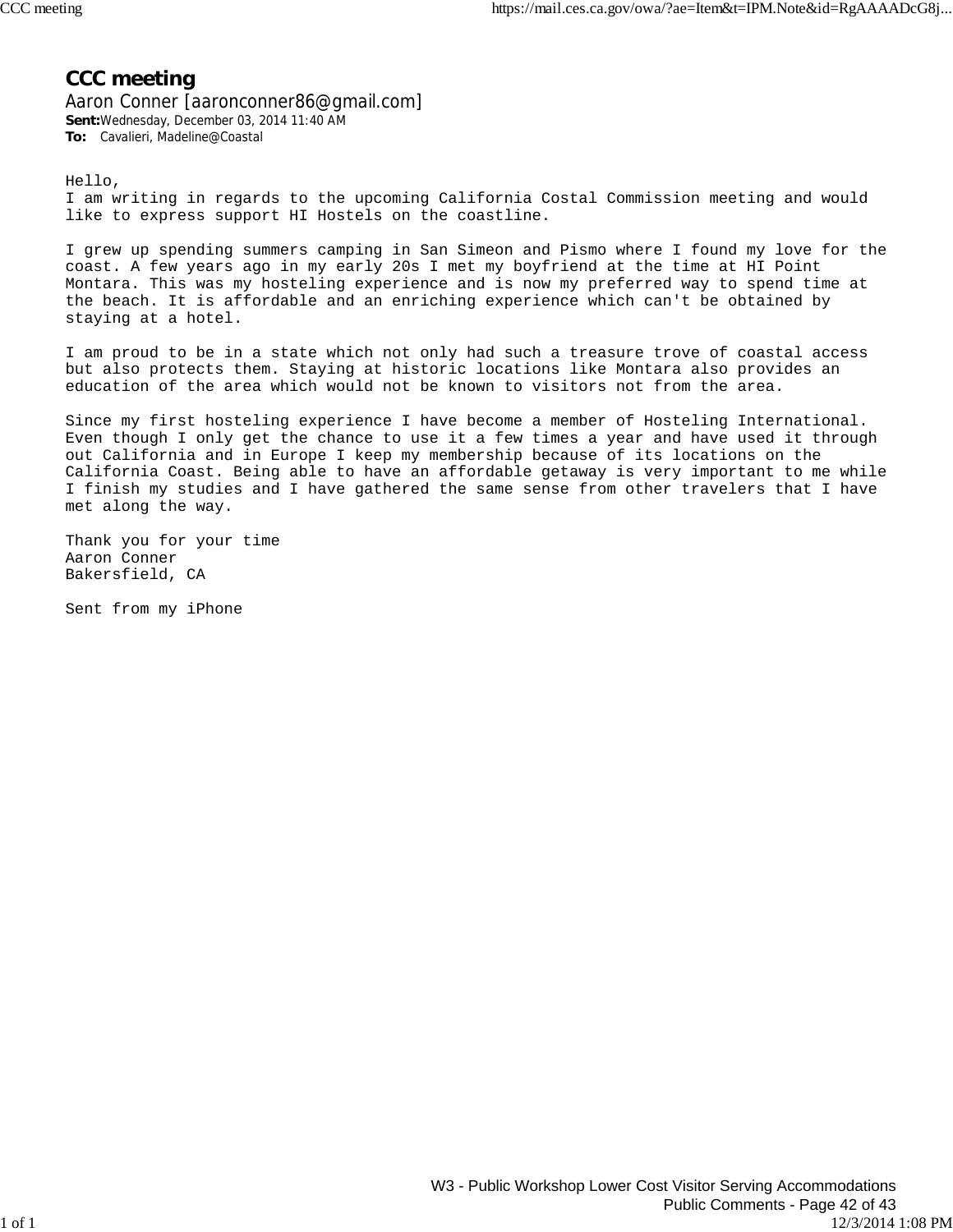### **CCC meeting**

Aaron Conner [aaronconner86@gmail.com] **Sent:**Wednesday, December 03, 2014 11:40 AM **To:** Cavalieri, Madeline@Coastal

Hello,

I am writing in regards to the upcoming California Costal Commission meeting and would like to express support HI Hostels on the coastline.

I grew up spending summers camping in San Simeon and Pismo where I found my love for the coast. A few years ago in my early 20s I met my boyfriend at the time at HI Point Montara. This was my hosteling experience and is now my preferred way to spend time at the beach. It is affordable and an enriching experience which can't be obtained by staying at a hotel.

I am proud to be in a state which not only had such a treasure trove of coastal access but also protects them. Staying at historic locations like Montara also provides an education of the area which would not be known to visitors not from the area.

Since my first hosteling experience I have become a member of Hosteling International. Even though I only get the chance to use it a few times a year and have used it through out California and in Europe I keep my membership because of its locations on the California Coast. Being able to have an affordable getaway is very important to me while I finish my studies and I have gathered the same sense from other travelers that I have met along the way.

Thank you for your time Aaron Conner Bakersfield, CA

Sent from my iPhone